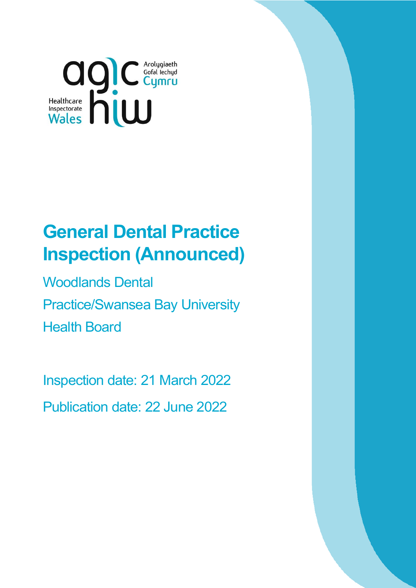

# **General Dental Practice Inspection (Announced)**

Woodlands Dental Practice/Swansea Bay University Health Board

Inspection date: 21 March 2022 Publication date: 22 June 2022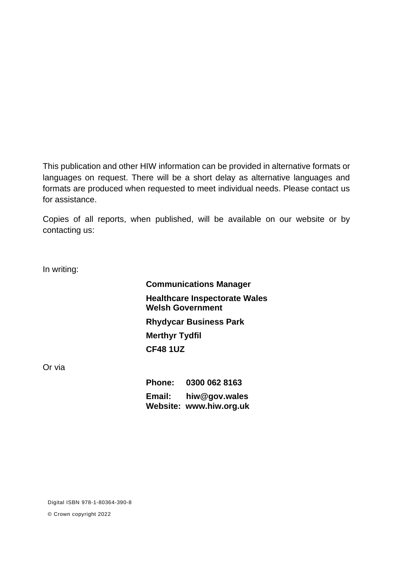This publication and other HIW information can be provided in alternative formats or languages on request. There will be a short delay as alternative languages and formats are produced when requested to meet individual needs. Please contact us for assistance.

Copies of all reports, when published, will be available on our website or by contacting us:

In writing:

**Communications Manager Healthcare Inspectorate Wales Welsh Government Rhydycar Business Park Merthyr Tydfil CF48 1UZ**

Or via

**Phone: 0300 062 8163 Email: [hiw@gov.wales](mailto:hiw@gov.wales) Website: [www.hiw.org.uk](http://www.hiw.org.uk/)**

Digital ISBN 978-1-80364-390-8

© Crown copyright 2022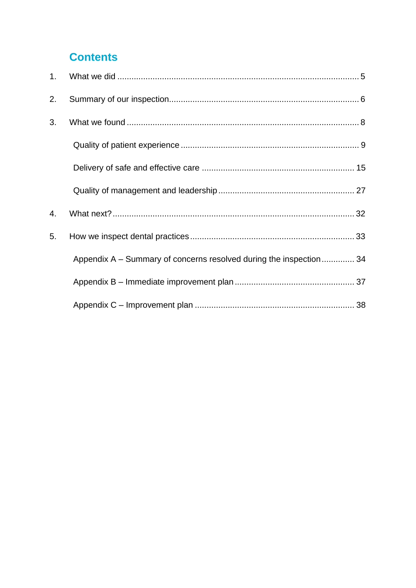## **Contents**

| 2. |                                                                    |  |
|----|--------------------------------------------------------------------|--|
| 3. |                                                                    |  |
|    |                                                                    |  |
|    |                                                                    |  |
|    |                                                                    |  |
| 4. |                                                                    |  |
| 5. |                                                                    |  |
|    | Appendix A – Summary of concerns resolved during the inspection 34 |  |
|    |                                                                    |  |
|    |                                                                    |  |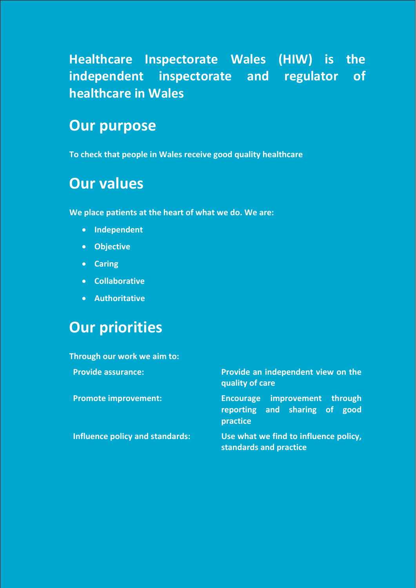**Healthcare Inspectorate Wales (HIW) is the independent inspectorate and regulator of healthcare in Wales** 

## **Our purpose**

**To check that people in Wales receive good quality healthcare**

## **Our values**

**We place patients at the heart of what we do. We are:**

- **Independent**
- **Objective**
- **Caring**
- **Collaborative**
- **Authoritative**

## **Our priorities**

**Through our work we aim to: Provide assurance: Provide an independent view on the quality of care Promote improvement: Encourage improvement through reporting and sharing of good practice Influence policy and standards: Use what we find to influence policy, standards and practice**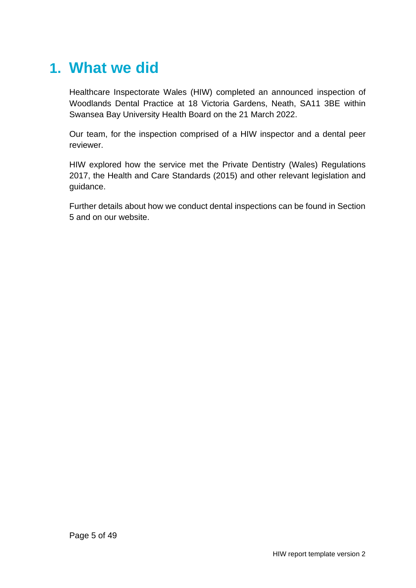## <span id="page-4-0"></span>**1. What we did**

Healthcare Inspectorate Wales (HIW) completed an announced inspection of Woodlands Dental Practice at 18 Victoria Gardens, Neath, SA11 3BE within Swansea Bay University Health Board on the 21 March 2022.

Our team, for the inspection comprised of a HIW inspector and a dental peer reviewer.

HIW explored how the service met the Private Dentistry (Wales) Regulations 2017, the Health and Care Standards (2015) and other relevant legislation and guidance.

Further details about how we conduct dental inspections can be found in Section 5 and on our website.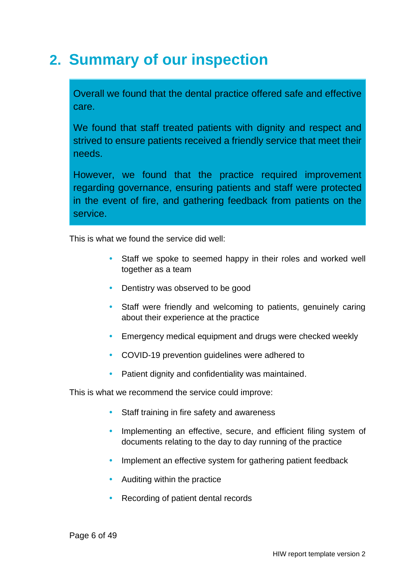## <span id="page-5-0"></span>**2. Summary of our inspection**

Overall we found that the dental practice offered safe and effective care.

We found that staff treated patients with dignity and respect and strived to ensure patients received a friendly service that meet their needs.

However, we found that the practice required improvement regarding governance, ensuring patients and staff were protected in the event of fire, and gathering feedback from patients on the service.

This is what we found the service did well:

- Staff we spoke to seemed happy in their roles and worked well together as a team
- Dentistry was observed to be good
- Staff were friendly and welcoming to patients, genuinely caring about their experience at the practice
- **Emergency medical equipment and drugs were checked weekly**
- COVID-19 prevention guidelines were adhered to
- Patient dignity and confidentiality was maintained.

This is what we recommend the service could improve:

- Staff training in fire safety and awareness
- Implementing an effective, secure, and efficient filing system of documents relating to the day to day running of the practice
- Implement an effective system for gathering patient feedback
- Auditing within the practice
- Recording of patient dental records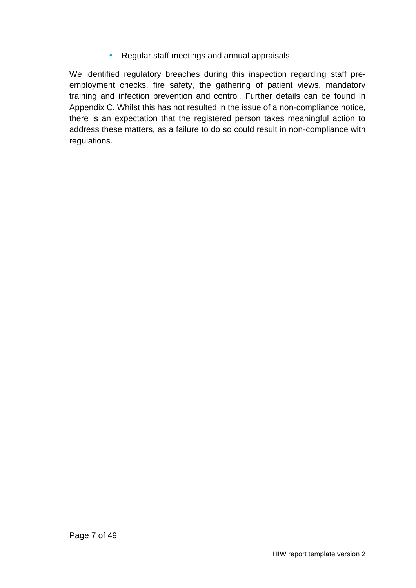• Regular staff meetings and annual appraisals.

We identified regulatory breaches during this inspection regarding staff preemployment checks, fire safety, the gathering of patient views, mandatory training and infection prevention and control. Further details can be found in Appendix C. Whilst this has not resulted in the issue of a non-compliance notice, there is an expectation that the registered person takes meaningful action to address these matters, as a failure to do so could result in non-compliance with regulations.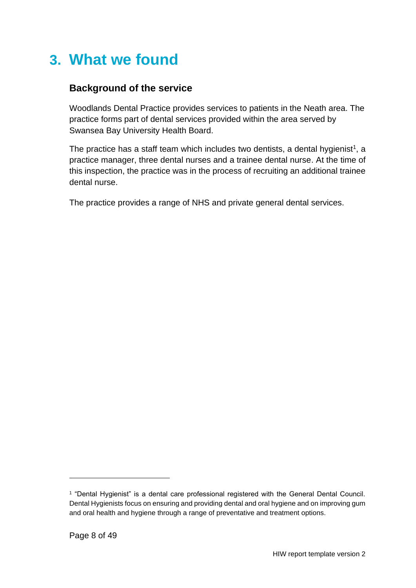## <span id="page-7-0"></span>**3. What we found**

### **Background of the service**

Woodlands Dental Practice provides services to patients in the Neath area. The practice forms part of dental services provided within the area served by Swansea Bay University Health Board.

The practice has a staff team which includes two dentists, a dental hygienist<sup>1</sup>, a practice manager, three dental nurses and a trainee dental nurse. At the time of this inspection, the practice was in the process of recruiting an additional trainee dental nurse.

The practice provides a range of NHS and private general dental services.

<sup>1</sup> "Dental Hygienist" is a dental care professional registered with the General Dental Council. Dental Hygienists focus on ensuring and providing dental and oral hygiene and on improving gum and oral health and hygiene through a range of preventative and treatment options.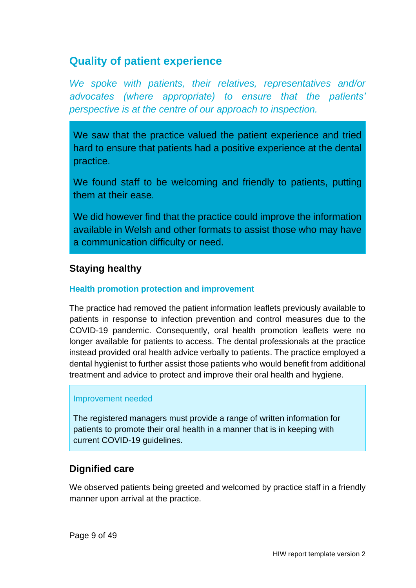## <span id="page-8-0"></span>**Quality of patient experience**

*We spoke with patients, their relatives, representatives and/or advocates (where appropriate) to ensure that the patients' perspective is at the centre of our approach to inspection.*

We saw that the practice valued the patient experience and tried hard to ensure that patients had a positive experience at the dental practice.

We found staff to be welcoming and friendly to patients, putting them at their ease.

We did however find that the practice could improve the information available in Welsh and other formats to assist those who may have a communication difficulty or need.

### **Staying healthy**

#### **Health promotion protection and improvement**

The practice had removed the patient information leaflets previously available to patients in response to infection prevention and control measures due to the COVID-19 pandemic. Consequently, oral health promotion leaflets were no longer available for patients to access. The dental professionals at the practice instead provided oral health advice verbally to patients. The practice employed a dental hygienist to further assist those patients who would benefit from additional treatment and advice to protect and improve their oral health and hygiene.

#### Improvement needed

The registered managers must provide a range of written information for patients to promote their oral health in a manner that is in keeping with current COVID-19 guidelines.

### **Dignified care**

We observed patients being greeted and welcomed by practice staff in a friendly manner upon arrival at the practice.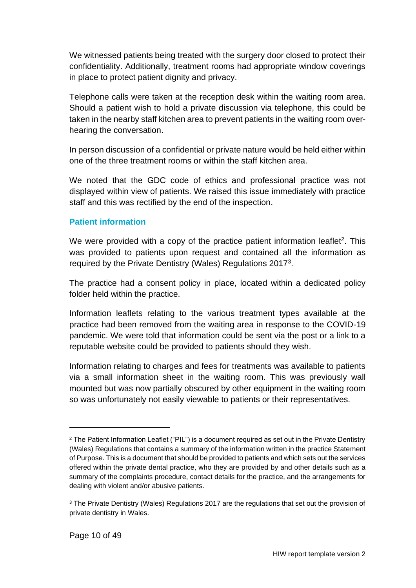We witnessed patients being treated with the surgery door closed to protect their confidentiality. Additionally, treatment rooms had appropriate window coverings in place to protect patient dignity and privacy.

Telephone calls were taken at the reception desk within the waiting room area. Should a patient wish to hold a private discussion via telephone, this could be taken in the nearby staff kitchen area to prevent patients in the waiting room overhearing the conversation.

In person discussion of a confidential or private nature would be held either within one of the three treatment rooms or within the staff kitchen area.

We noted that the GDC code of ethics and professional practice was not displayed within view of patients. We raised this issue immediately with practice staff and this was rectified by the end of the inspection.

#### **Patient information**

We were provided with a copy of the practice patient information leaflet<sup>2</sup>. This was provided to patients upon request and contained all the information as required by the Private Dentistry (Wales) Regulations 2017<sup>3</sup>.

The practice had a consent policy in place, located within a dedicated policy folder held within the practice.

Information leaflets relating to the various treatment types available at the practice had been removed from the waiting area in response to the COVID-19 pandemic. We were told that information could be sent via the post or a link to a reputable website could be provided to patients should they wish.

Information relating to charges and fees for treatments was available to patients via a small information sheet in the waiting room. This was previously wall mounted but was now partially obscured by other equipment in the waiting room so was unfortunately not easily viewable to patients or their representatives.

<sup>2</sup> The Patient Information Leaflet ("PIL") is a document required as set out in the Private Dentistry (Wales) Regulations that contains a summary of the information written in the practice Statement of Purpose. This is a document that should be provided to patients and which sets out the services offered within the private dental practice, who they are provided by and other details such as a summary of the complaints procedure, contact details for the practice, and the arrangements for dealing with violent and/or abusive patients.

<sup>&</sup>lt;sup>3</sup> The Private Dentistry (Wales) Regulations 2017 are the regulations that set out the provision of private dentistry in Wales.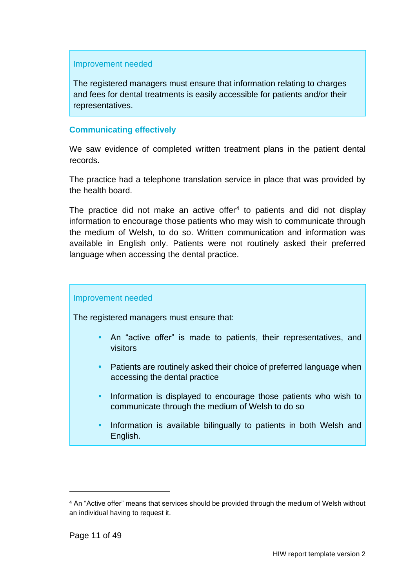#### Improvement needed

The registered managers must ensure that information relating to charges and fees for dental treatments is easily accessible for patients and/or their representatives.

#### **Communicating effectively**

We saw evidence of completed written treatment plans in the patient dental records.

The practice had a telephone translation service in place that was provided by the health board.

The practice did not make an active offer $4$  to patients and did not display information to encourage those patients who may wish to communicate through the medium of Welsh, to do so. Written communication and information was available in English only. Patients were not routinely asked their preferred language when accessing the dental practice.

#### Improvement needed

The registered managers must ensure that:

- An "active offer" is made to patients, their representatives, and visitors
- Patients are routinely asked their choice of preferred language when accessing the dental practice
- Information is displayed to encourage those patients who wish to communicate through the medium of Welsh to do so
- Information is available bilingually to patients in both Welsh and English.

<sup>&</sup>lt;sup>4</sup> An "Active offer" means that services should be provided through the medium of Welsh without an individual having to request it.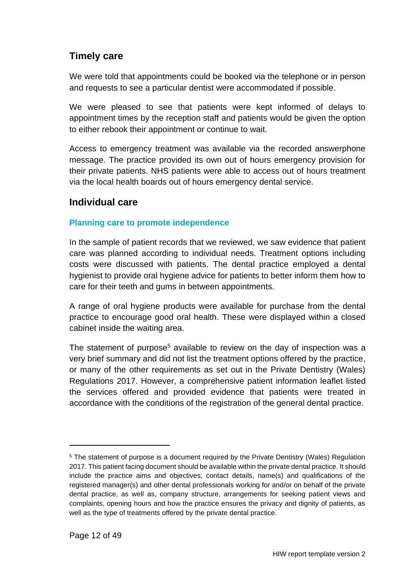### **Timely care**

We were told that appointments could be booked via the telephone or in person and requests to see a particular dentist were accommodated if possible.

We were pleased to see that patients were kept informed of delays to appointment times by the reception staff and patients would be given the option to either rebook their appointment or continue to wait.

Access to emergency treatment was available via the recorded answerphone message. The practice provided its own out of hours emergency provision for their private patients. NHS patients were able to access out of hours treatment via the local health boards out of hours emergency dental service.

#### **Individual care**

#### **Planning care to promote independence**

In the sample of patient records that we reviewed, we saw evidence that patient care was planned according to individual needs. Treatment options including costs were discussed with patients. The dental practice employed a dental hygienist to provide oral hygiene advice for patients to better inform them how to care for their teeth and gums in between appointments.

A range of oral hygiene products were available for purchase from the dental practice to encourage good oral health. These were displayed within a closed cabinet inside the waiting area.

The statement of purpose<sup>5</sup> available to review on the day of inspection was a very brief summary and did not list the treatment options offered by the practice, or many of the other requirements as set out in the Private Dentistry (Wales) Regulations 2017. However, a comprehensive patient information leaflet listed the services offered and provided evidence that patients were treated in accordance with the conditions of the registration of the general dental practice.

<sup>&</sup>lt;sup>5</sup> The statement of purpose is a document required by the Private Dentistry (Wales) Regulation 2017. This patient facing document should be available within the private dental practice. It should include the practice aims and objectives, contact details, name(s) and qualifications of the registered manager(s) and other dental professionals working for and/or on behalf of the private dental practice, as well as, company structure, arrangements for seeking patient views and complaints, opening hours and how the practice ensures the privacy and dignity of patients, as well as the type of treatments offered by the private dental practice.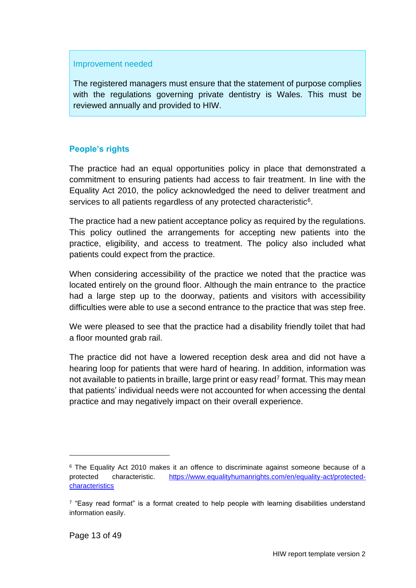#### Improvement needed

The registered managers must ensure that the statement of purpose complies with the regulations governing private dentistry is Wales. This must be reviewed annually and provided to HIW.

#### **People's rights**

The practice had an equal opportunities policy in place that demonstrated a commitment to ensuring patients had access to fair treatment. In line with the Equality Act 2010, the policy acknowledged the need to deliver treatment and services to all patients regardless of any protected characteristic $6$ .

The practice had a new patient acceptance policy as required by the regulations. This policy outlined the arrangements for accepting new patients into the practice, eligibility, and access to treatment. The policy also included what patients could expect from the practice.

When considering accessibility of the practice we noted that the practice was located entirely on the ground floor. Although the main entrance to the practice had a large step up to the doorway, patients and visitors with accessibility difficulties were able to use a second entrance to the practice that was step free.

We were pleased to see that the practice had a disability friendly toilet that had a floor mounted grab rail.

The practice did not have a lowered reception desk area and did not have a hearing loop for patients that were hard of hearing. In addition, information was not available to patients in braille, large print or easy read<sup>7</sup> format. This may mean that patients' individual needs were not accounted for when accessing the dental practice and may negatively impact on their overall experience.

<sup>&</sup>lt;sup>6</sup> The Equality Act 2010 makes it an offence to discriminate against someone because of a protected characteristic. [https://www.equalityhumanrights.com/en/equality-act/protected](https://www.equalityhumanrights.com/en/equality-act/protected-characteristics)[characteristics](https://www.equalityhumanrights.com/en/equality-act/protected-characteristics)

<sup>&</sup>lt;sup>7</sup> "Easy read format" is a format created to help people with learning disabilities understand information easily.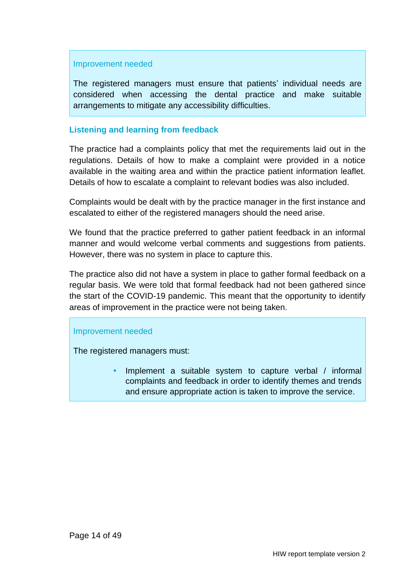#### Improvement needed

The registered managers must ensure that patients' individual needs are considered when accessing the dental practice and make suitable arrangements to mitigate any accessibility difficulties.

#### **Listening and learning from feedback**

The practice had a complaints policy that met the requirements laid out in the regulations. Details of how to make a complaint were provided in a notice available in the waiting area and within the practice patient information leaflet. Details of how to escalate a complaint to relevant bodies was also included.

Complaints would be dealt with by the practice manager in the first instance and escalated to either of the registered managers should the need arise.

We found that the practice preferred to gather patient feedback in an informal manner and would welcome verbal comments and suggestions from patients. However, there was no system in place to capture this.

The practice also did not have a system in place to gather formal feedback on a regular basis. We were told that formal feedback had not been gathered since the start of the COVID-19 pandemic. This meant that the opportunity to identify areas of improvement in the practice were not being taken.

#### Improvement needed

<span id="page-13-0"></span>The registered managers must:

 Implement a suitable system to capture verbal / informal complaints and feedback in order to identify themes and trends and ensure appropriate action is taken to improve the service.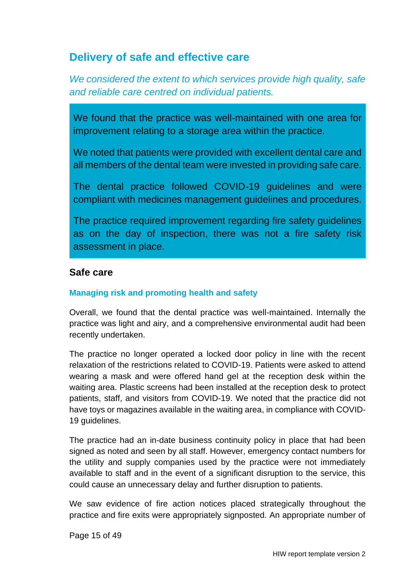## **Delivery of safe and effective care**

*We considered the extent to which services provide high quality, safe and reliable care centred on individual patients.*

We found that the practice was well-maintained with one area for improvement relating to a storage area within the practice.

We noted that patients were provided with excellent dental care and all members of the dental team were invested in providing safe care.

The dental practice followed COVID-19 guidelines and were compliant with medicines management guidelines and procedures.

The practice required improvement regarding fire safety guidelines as on the day of inspection, there was not a fire safety risk assessment in place.

#### **Safe care**

#### **Managing risk and promoting health and safety**

Overall, we found that the dental practice was well-maintained. Internally the practice was light and airy, and a comprehensive environmental audit had been recently undertaken.

The practice no longer operated a locked door policy in line with the recent relaxation of the restrictions related to COVID-19. Patients were asked to attend wearing a mask and were offered hand gel at the reception desk within the waiting area. Plastic screens had been installed at the reception desk to protect patients, staff, and visitors from COVID-19. We noted that the practice did not have toys or magazines available in the waiting area, in compliance with COVID-19 guidelines.

The practice had an in-date business continuity policy in place that had been signed as noted and seen by all staff. However, emergency contact numbers for the utility and supply companies used by the practice were not immediately available to staff and in the event of a significant disruption to the service, this could cause an unnecessary delay and further disruption to patients.

We saw evidence of fire action notices placed strategically throughout the practice and fire exits were appropriately signposted. An appropriate number of

Page 15 of 49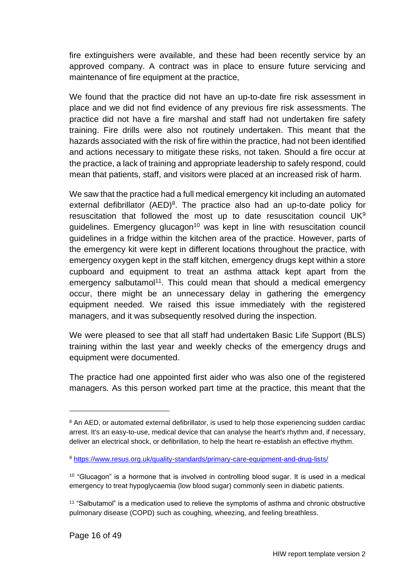fire extinguishers were available, and these had been recently service by an approved company. A contract was in place to ensure future servicing and maintenance of fire equipment at the practice,

We found that the practice did not have an up-to-date fire risk assessment in place and we did not find evidence of any previous fire risk assessments. The practice did not have a fire marshal and staff had not undertaken fire safety training. Fire drills were also not routinely undertaken. This meant that the hazards associated with the risk of fire within the practice, had not been identified and actions necessary to mitigate these risks, not taken. Should a fire occur at the practice, a lack of training and appropriate leadership to safely respond, could mean that patients, staff, and visitors were placed at an increased risk of harm.

We saw that the practice had a full medical emergency kit including an automated external defibrillator (AED)<sup>8</sup>. The practice also had an up-to-date policy for resuscitation that followed the most up to date resuscitation council  $UK<sup>9</sup>$  $quidelines.$  Emergency glucagon<sup>10</sup> was kept in line with resuscitation council guidelines in a fridge within the kitchen area of the practice. However, parts of the emergency kit were kept in different locations throughout the practice, with emergency oxygen kept in the staff kitchen, emergency drugs kept within a store cupboard and equipment to treat an asthma attack kept apart from the emergency salbutamol<sup>11</sup>. This could mean that should a medical emergency occur, there might be an unnecessary delay in gathering the emergency equipment needed. We raised this issue immediately with the registered managers, and it was subsequently resolved during the inspection.

We were pleased to see that all staff had undertaken Basic Life Support (BLS) training within the last year and weekly checks of the emergency drugs and equipment were documented.

The practice had one appointed first aider who was also one of the registered managers. As this person worked part time at the practice, this meant that the

<sup>&</sup>lt;sup>8</sup> An AED, or automated external defibrillator, is used to help those experiencing sudden cardiac arrest. It's an easy-to-use, medical device that can analyse the heart's rhythm and, if necessary, deliver an electrical shock, or defibrillation, to help the heart re-establish an effective rhythm.

<sup>9</sup> <https://www.resus.org.uk/quality-standards/primary-care-equipment-and-drug-lists/>

<sup>&</sup>lt;sup>10</sup> "Glucagon" is a hormone that is involved in controlling blood sugar. It is used in a medical emergency to treat hypoglycaemia (low blood sugar) commonly seen in diabetic patients.

<sup>11</sup> "Salbutamol" is a medication used to relieve the symptoms of asthma and chronic obstructive pulmonary disease (COPD) such as coughing, wheezing, and feeling breathless.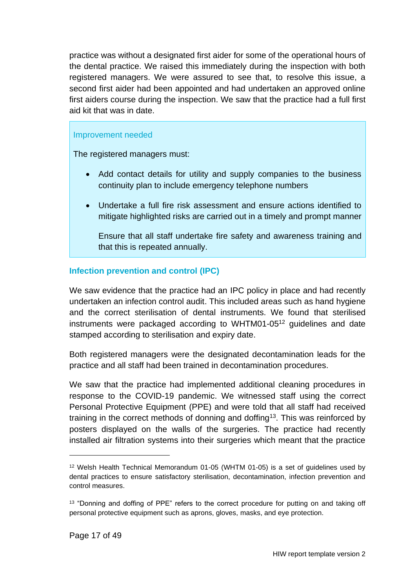practice was without a designated first aider for some of the operational hours of the dental practice. We raised this immediately during the inspection with both registered managers. We were assured to see that, to resolve this issue, a second first aider had been appointed and had undertaken an approved online first aiders course during the inspection. We saw that the practice had a full first aid kit that was in date.

#### Improvement needed

The registered managers must:

- Add contact details for utility and supply companies to the business continuity plan to include emergency telephone numbers
- Undertake a full fire risk assessment and ensure actions identified to mitigate highlighted risks are carried out in a timely and prompt manner

Ensure that all staff undertake fire safety and awareness training and that this is repeated annually.

#### **Infection prevention and control (IPC)**

We saw evidence that the practice had an IPC policy in place and had recently undertaken an infection control audit. This included areas such as hand hygiene and the correct sterilisation of dental instruments. We found that sterilised instruments were packaged according to WHTM01-05<sup>12</sup> guidelines and date stamped according to sterilisation and expiry date.

Both registered managers were the designated decontamination leads for the practice and all staff had been trained in decontamination procedures.

We saw that the practice had implemented additional cleaning procedures in response to the COVID-19 pandemic. We witnessed staff using the correct Personal Protective Equipment (PPE) and were told that all staff had received training in the correct methods of donning and doffing<sup>13</sup>. This was reinforced by posters displayed on the walls of the surgeries. The practice had recently installed air filtration systems into their surgeries which meant that the practice

<sup>12</sup> Welsh Health Technical Memorandum 01-05 (WHTM 01-05) is a set of guidelines used by dental practices to ensure satisfactory sterilisation, decontamination, infection prevention and control measures.

<sup>&</sup>lt;sup>13</sup> "Donning and doffing of PPE" refers to the correct procedure for putting on and taking off personal protective equipment such as aprons, gloves, masks, and eye protection.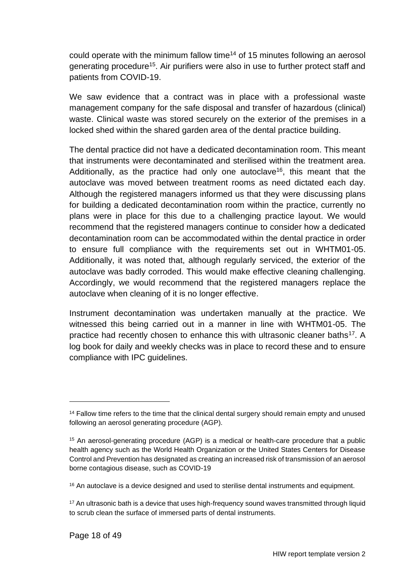could operate with the minimum fallow time<sup>14</sup> of 15 minutes following an aerosol generating procedure<sup>15</sup>. Air purifiers were also in use to further protect staff and patients from COVID-19.

We saw evidence that a contract was in place with a professional waste management company for the safe disposal and transfer of hazardous (clinical) waste. Clinical waste was stored securely on the exterior of the premises in a locked shed within the shared garden area of the dental practice building.

The dental practice did not have a dedicated decontamination room. This meant that instruments were decontaminated and sterilised within the treatment area. Additionally, as the practice had only one autoclave<sup>16</sup>, this meant that the autoclave was moved between treatment rooms as need dictated each day. Although the registered managers informed us that they were discussing plans for building a dedicated decontamination room within the practice, currently no plans were in place for this due to a challenging practice layout. We would recommend that the registered managers continue to consider how a dedicated decontamination room can be accommodated within the dental practice in order to ensure full compliance with the requirements set out in WHTM01-05. Additionally, it was noted that, although regularly serviced, the exterior of the autoclave was badly corroded. This would make effective cleaning challenging. Accordingly, we would recommend that the registered managers replace the autoclave when cleaning of it is no longer effective.

Instrument decontamination was undertaken manually at the practice. We witnessed this being carried out in a manner in line with WHTM01-05. The practice had recently chosen to enhance this with ultrasonic cleaner baths<sup>17</sup>. A log book for daily and weekly checks was in place to record these and to ensure compliance with IPC guidelines.

<sup>&</sup>lt;sup>14</sup> Fallow time refers to the time that the clinical dental surgery should remain empty and unused following an aerosol generating procedure (AGP).

<sup>15</sup> An aerosol-generating procedure (AGP) is a medical or health-care procedure that a public health agency such as the World Health Organization or the United States Centers for Disease Control and Prevention has designated as creating an increased risk of transmission of an aerosol borne contagious disease, such as COVID-19

<sup>&</sup>lt;sup>16</sup> An autoclave is a device designed and used to sterilise dental instruments and equipment.

<sup>&</sup>lt;sup>17</sup> An ultrasonic bath is a device that uses high-frequency sound waves transmitted through liquid to scrub clean the surface of immersed parts of dental instruments.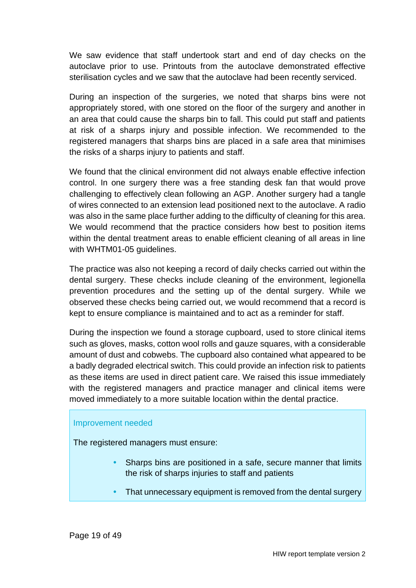We saw evidence that staff undertook start and end of day checks on the autoclave prior to use. Printouts from the autoclave demonstrated effective sterilisation cycles and we saw that the autoclave had been recently serviced.

During an inspection of the surgeries, we noted that sharps bins were not appropriately stored, with one stored on the floor of the surgery and another in an area that could cause the sharps bin to fall. This could put staff and patients at risk of a sharps injury and possible infection. We recommended to the registered managers that sharps bins are placed in a safe area that minimises the risks of a sharps injury to patients and staff.

We found that the clinical environment did not always enable effective infection control. In one surgery there was a free standing desk fan that would prove challenging to effectively clean following an AGP. Another surgery had a tangle of wires connected to an extension lead positioned next to the autoclave. A radio was also in the same place further adding to the difficulty of cleaning for this area. We would recommend that the practice considers how best to position items within the dental treatment areas to enable efficient cleaning of all areas in line with WHTM01-05 guidelines.

The practice was also not keeping a record of daily checks carried out within the dental surgery. These checks include cleaning of the environment, legionella prevention procedures and the setting up of the dental surgery. While we observed these checks being carried out, we would recommend that a record is kept to ensure compliance is maintained and to act as a reminder for staff.

During the inspection we found a storage cupboard, used to store clinical items such as gloves, masks, cotton wool rolls and gauze squares, with a considerable amount of dust and cobwebs. The cupboard also contained what appeared to be a badly degraded electrical switch. This could provide an infection risk to patients as these items are used in direct patient care. We raised this issue immediately with the registered managers and practice manager and clinical items were moved immediately to a more suitable location within the dental practice.

#### Improvement needed

The registered managers must ensure:

- Sharps bins are positioned in a safe, secure manner that limits the risk of sharps injuries to staff and patients
- That unnecessary equipment is removed from the dental surgery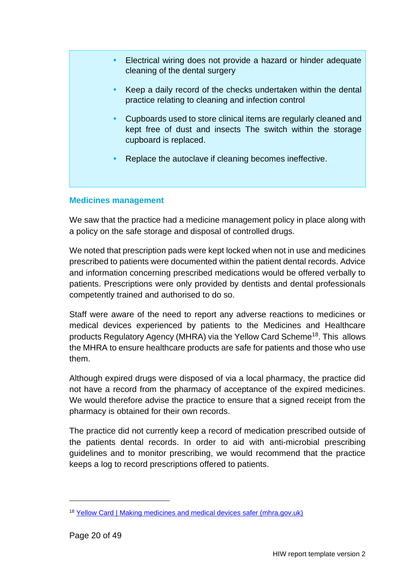- Electrical wiring does not provide a hazard or hinder adequate cleaning of the dental surgery
	- Keep a daily record of the checks undertaken within the dental practice relating to cleaning and infection control
	- Cupboards used to store clinical items are regularly cleaned and kept free of dust and insects The switch within the storage cupboard is replaced.
	- Replace the autoclave if cleaning becomes ineffective.

#### **Medicines management**

We saw that the practice had a medicine management policy in place along with a policy on the safe storage and disposal of controlled drugs.

We noted that prescription pads were kept locked when not in use and medicines prescribed to patients were documented within the patient dental records. Advice and information concerning prescribed medications would be offered verbally to patients. Prescriptions were only provided by dentists and dental professionals competently trained and authorised to do so.

Staff were aware of the need to report any adverse reactions to medicines or medical devices experienced by patients to the Medicines and Healthcare products Regulatory Agency (MHRA) via the Yellow Card Scheme<sup>18</sup>. This allows the MHRA to ensure healthcare products are safe for patients and those who use them.

Although expired drugs were disposed of via a local pharmacy, the practice did not have a record from the pharmacy of acceptance of the expired medicines. We would therefore advise the practice to ensure that a signed receipt from the pharmacy is obtained for their own records.

The practice did not currently keep a record of medication prescribed outside of the patients dental records. In order to aid with anti-microbial prescribing guidelines and to monitor prescribing, we would recommend that the practice keeps a log to record prescriptions offered to patients.

<sup>18</sup> [Yellow Card | Making medicines and medical devices safer \(mhra.gov.uk\)](https://yellowcard.mhra.gov.uk/)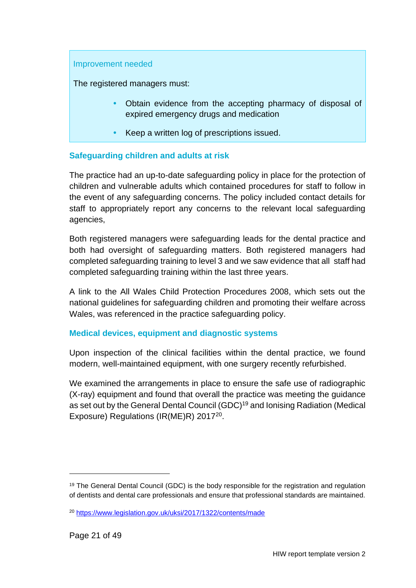#### Improvement needed

The registered managers must:

- Obtain evidence from the accepting pharmacy of disposal of expired emergency drugs and medication
- Keep a written log of prescriptions issued.

#### **Safeguarding children and adults at risk**

The practice had an up-to-date safeguarding policy in place for the protection of children and vulnerable adults which contained procedures for staff to follow in the event of any safeguarding concerns. The policy included contact details for staff to appropriately report any concerns to the relevant local safeguarding agencies,

Both registered managers were safeguarding leads for the dental practice and both had oversight of safeguarding matters. Both registered managers had completed safeguarding training to level 3 and we saw evidence that all staff had completed safeguarding training within the last three years.

A link to the All Wales Child Protection Procedures 2008, which sets out the national guidelines for safeguarding children and promoting their welfare across Wales, was referenced in the practice safeguarding policy.

#### **Medical devices, equipment and diagnostic systems**

Upon inspection of the clinical facilities within the dental practice, we found modern, well-maintained equipment, with one surgery recently refurbished.

We examined the arrangements in place to ensure the safe use of radiographic (X-ray) equipment and found that overall the practice was meeting the guidance as set out by the General Dental Council (GDC)<sup>19</sup> and Ionising Radiation (Medical Exposure) Regulations (IR(ME)R) 2017<sup>20</sup>.

<sup>&</sup>lt;sup>19</sup> The General Dental Council (GDC) is the body responsible for the registration and regulation of dentists and dental care professionals and ensure that professional standards are maintained.

<sup>20</sup> <https://www.legislation.gov.uk/uksi/2017/1322/contents/made>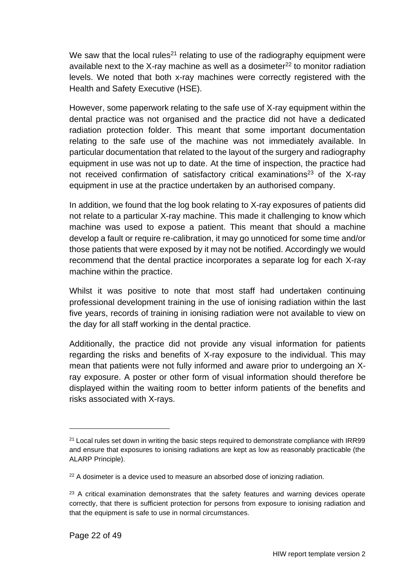We saw that the local rules<sup>21</sup> relating to use of the radiography equipment were available next to the X-ray machine as well as a dosimeter $^{22}$  to monitor radiation levels. We noted that both x-ray machines were correctly registered with the Health and Safety Executive (HSE).

However, some paperwork relating to the safe use of X-ray equipment within the dental practice was not organised and the practice did not have a dedicated radiation protection folder. This meant that some important documentation relating to the safe use of the machine was not immediately available. In particular documentation that related to the layout of the surgery and radiography equipment in use was not up to date. At the time of inspection, the practice had not received confirmation of satisfactory critical examinations<sup>23</sup> of the X-ray equipment in use at the practice undertaken by an authorised company.

In addition, we found that the log book relating to X-ray exposures of patients did not relate to a particular X-ray machine. This made it challenging to know which machine was used to expose a patient. This meant that should a machine develop a fault or require re-calibration, it may go unnoticed for some time and/or those patients that were exposed by it may not be notified. Accordingly we would recommend that the dental practice incorporates a separate log for each X-ray machine within the practice.

Whilst it was positive to note that most staff had undertaken continuing professional development training in the use of ionising radiation within the last five years, records of training in ionising radiation were not available to view on the day for all staff working in the dental practice.

Additionally, the practice did not provide any visual information for patients regarding the risks and benefits of X-ray exposure to the individual. This may mean that patients were not fully informed and aware prior to undergoing an Xray exposure. A poster or other form of visual information should therefore be displayed within the waiting room to better inform patients of the benefits and risks associated with X-rays.

 $21$  Local rules set down in writing the basic steps required to demonstrate compliance with IRR99 and ensure that exposures to ionising radiations are kept as low as reasonably practicable (the ALARP Principle).

<sup>&</sup>lt;sup>22</sup> A dosimeter is a device used to measure an absorbed dose of ionizing radiation.

 $23$  A critical examination demonstrates that the safety features and warning devices operate correctly, that there is sufficient protection for persons from exposure to ionising radiation and that the equipment is safe to use in normal circumstances.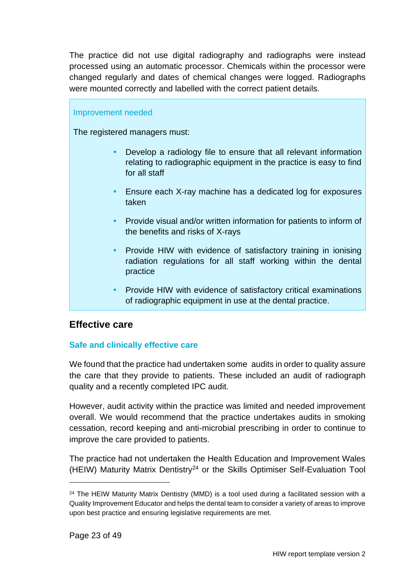The practice did not use digital radiography and radiographs were instead processed using an automatic processor. Chemicals within the processor were changed regularly and dates of chemical changes were logged. Radiographs were mounted correctly and labelled with the correct patient details.

#### Improvement needed

The registered managers must:

- Develop a radiology file to ensure that all relevant information relating to radiographic equipment in the practice is easy to find for all staff
- Ensure each X-ray machine has a dedicated log for exposures taken
- Provide visual and/or written information for patients to inform of the benefits and risks of X-rays
- Provide HIW with evidence of satisfactory training in ionising radiation regulations for all staff working within the dental practice
- Provide HIW with evidence of satisfactory critical examinations of radiographic equipment in use at the dental practice.

#### **Effective care**

#### **Safe and clinically effective care**

We found that the practice had undertaken some audits in order to quality assure the care that they provide to patients. These included an audit of radiograph quality and a recently completed IPC audit.

However, audit activity within the practice was limited and needed improvement overall. We would recommend that the practice undertakes audits in smoking cessation, record keeping and anti-microbial prescribing in order to continue to improve the care provided to patients.

The practice had not undertaken the Health Education and Improvement Wales (HEIW) Maturity Matrix Dentistry<sup>24</sup> or the Skills Optimiser Self-Evaluation Tool

 $24$  The HEIW Maturity Matrix Dentistry (MMD) is a tool used during a facilitated session with a Quality Improvement Educator and helps the dental team to consider a variety of areas to improve upon best practice and ensuring legislative requirements are met.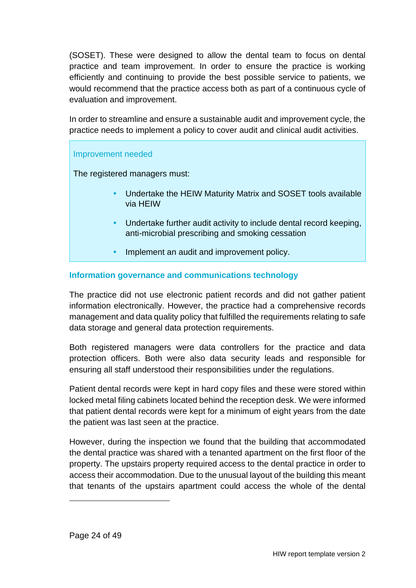(SOSET). These were designed to allow the dental team to focus on dental practice and team improvement. In order to ensure the practice is working efficiently and continuing to provide the best possible service to patients, we would recommend that the practice access both as part of a continuous cycle of evaluation and improvement.

In order to streamline and ensure a sustainable audit and improvement cycle, the practice needs to implement a policy to cover audit and clinical audit activities.

#### Improvement needed

The registered managers must:

- Undertake the HEIW Maturity Matrix and SOSET tools available via HEIW
- Undertake further audit activity to include dental record keeping, anti-microbial prescribing and smoking cessation
- Implement an audit and improvement policy.

#### **Information governance and communications technology**

The practice did not use electronic patient records and did not gather patient information electronically. However, the practice had a comprehensive records management and data quality policy that fulfilled the requirements relating to safe data storage and general data protection requirements.

Both registered managers were data controllers for the practice and data protection officers. Both were also data security leads and responsible for ensuring all staff understood their responsibilities under the regulations.

Patient dental records were kept in hard copy files and these were stored within locked metal filing cabinets located behind the reception desk. We were informed that patient dental records were kept for a minimum of eight years from the date the patient was last seen at the practice.

However, during the inspection we found that the building that accommodated the dental practice was shared with a tenanted apartment on the first floor of the property. The upstairs property required access to the dental practice in order to access their accommodation. Due to the unusual layout of the building this meant that tenants of the upstairs apartment could access the whole of the dental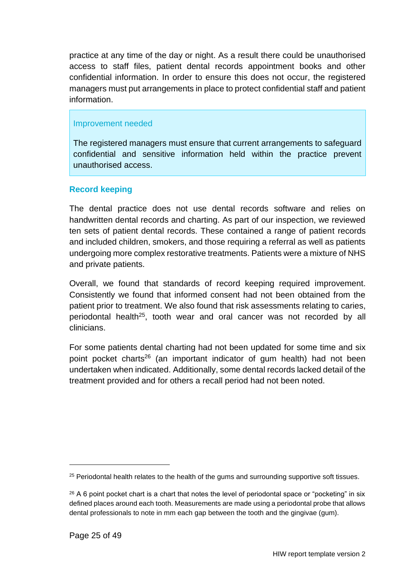practice at any time of the day or night. As a result there could be unauthorised access to staff files, patient dental records appointment books and other confidential information. In order to ensure this does not occur, the registered managers must put arrangements in place to protect confidential staff and patient information.

#### Improvement needed

The registered managers must ensure that current arrangements to safeguard confidential and sensitive information held within the practice prevent unauthorised access.

#### **Record keeping**

The dental practice does not use dental records software and relies on handwritten dental records and charting. As part of our inspection, we reviewed ten sets of patient dental records. These contained a range of patient records and included children, smokers, and those requiring a referral as well as patients undergoing more complex restorative treatments. Patients were a mixture of NHS and private patients.

Overall, we found that standards of record keeping required improvement. Consistently we found that informed consent had not been obtained from the patient prior to treatment. We also found that risk assessments relating to caries, periodontal health<sup>25</sup>, tooth wear and oral cancer was not recorded by all clinicians.

For some patients dental charting had not been updated for some time and six point pocket charts<sup>26</sup> (an important indicator of gum health) had not been undertaken when indicated. Additionally, some dental records lacked detail of the treatment provided and for others a recall period had not been noted.

<sup>&</sup>lt;sup>25</sup> Periodontal health relates to the health of the gums and surrounding supportive soft tissues.

 $26$  A 6 point pocket chart is a chart that notes the level of periodontal space or "pocketing" in six defined places around each tooth. Measurements are made using a periodontal probe that allows dental professionals to note in mm each gap between the tooth and the gingivae (gum).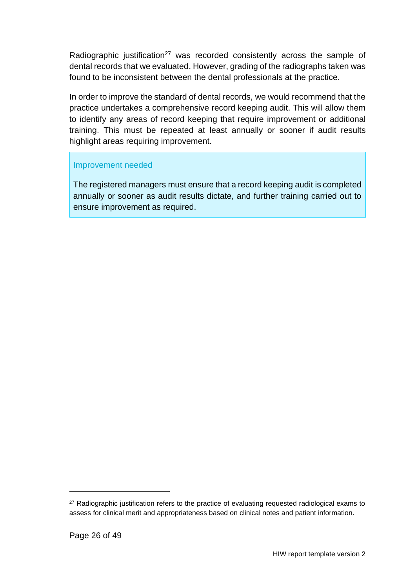Radiographic justification<sup>27</sup> was recorded consistently across the sample of dental records that we evaluated. However, grading of the radiographs taken was found to be inconsistent between the dental professionals at the practice.

In order to improve the standard of dental records, we would recommend that the practice undertakes a comprehensive record keeping audit. This will allow them to identify any areas of record keeping that require improvement or additional training. This must be repeated at least annually or sooner if audit results highlight areas requiring improvement.

#### Improvement needed

The registered managers must ensure that a record keeping audit is completed annually or sooner as audit results dictate, and further training carried out to ensure improvement as required.

<sup>&</sup>lt;sup>27</sup> Radiographic justification refers to the practice of evaluating requested radiological exams to assess for clinical merit and appropriateness based on clinical notes and patient information.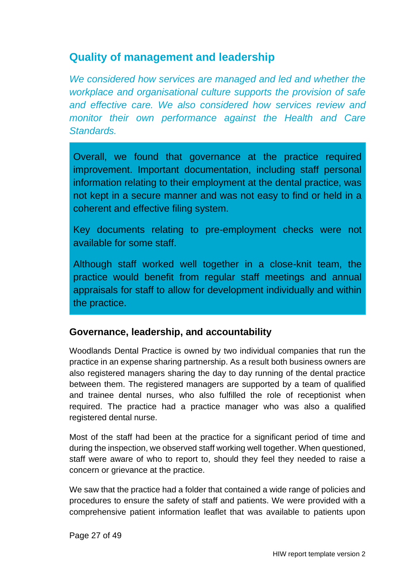### <span id="page-26-0"></span>**Quality of management and leadership**

*We considered how services are managed and led and whether the workplace and organisational culture supports the provision of safe and effective care. We also considered how services review and monitor their own performance against the Health and Care Standards.*

Overall, we found that governance at the practice required improvement. Important documentation, including staff personal information relating to their employment at the dental practice, was not kept in a secure manner and was not easy to find or held in a coherent and effective filing system.

Key documents relating to pre-employment checks were not available for some staff.

Although staff worked well together in a close-knit team, the practice would benefit from regular staff meetings and annual appraisals for staff to allow for development individually and within the practice.

### **Governance, leadership, and accountability**

Woodlands Dental Practice is owned by two individual companies that run the practice in an expense sharing partnership. As a result both business owners are also registered managers sharing the day to day running of the dental practice between them. The registered managers are supported by a team of qualified and trainee dental nurses, who also fulfilled the role of receptionist when required. The practice had a practice manager who was also a qualified registered dental nurse.

Most of the staff had been at the practice for a significant period of time and during the inspection, we observed staff working well together. When questioned, staff were aware of who to report to, should they feel they needed to raise a concern or grievance at the practice.

We saw that the practice had a folder that contained a wide range of policies and procedures to ensure the safety of staff and patients. We were provided with a comprehensive patient information leaflet that was available to patients upon

Page 27 of 49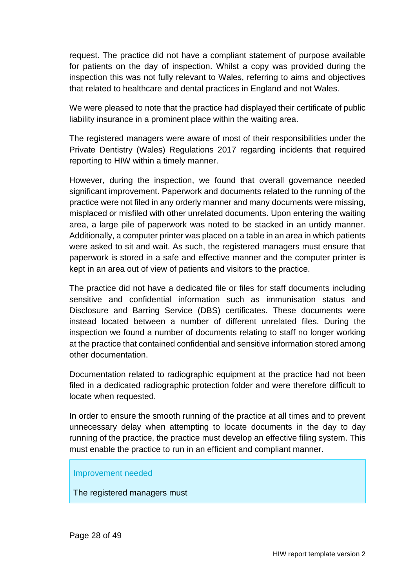request. The practice did not have a compliant statement of purpose available for patients on the day of inspection. Whilst a copy was provided during the inspection this was not fully relevant to Wales, referring to aims and objectives that related to healthcare and dental practices in England and not Wales.

We were pleased to note that the practice had displayed their certificate of public liability insurance in a prominent place within the waiting area.

The registered managers were aware of most of their responsibilities under the Private Dentistry (Wales) Regulations 2017 regarding incidents that required reporting to HIW within a timely manner.

However, during the inspection, we found that overall governance needed significant improvement. Paperwork and documents related to the running of the practice were not filed in any orderly manner and many documents were missing, misplaced or misfiled with other unrelated documents. Upon entering the waiting area, a large pile of paperwork was noted to be stacked in an untidy manner. Additionally, a computer printer was placed on a table in an area in which patients were asked to sit and wait. As such, the registered managers must ensure that paperwork is stored in a safe and effective manner and the computer printer is kept in an area out of view of patients and visitors to the practice.

The practice did not have a dedicated file or files for staff documents including sensitive and confidential information such as immunisation status and Disclosure and Barring Service (DBS) certificates. These documents were instead located between a number of different unrelated files. During the inspection we found a number of documents relating to staff no longer working at the practice that contained confidential and sensitive information stored among other documentation.

Documentation related to radiographic equipment at the practice had not been filed in a dedicated radiographic protection folder and were therefore difficult to locate when requested.

In order to ensure the smooth running of the practice at all times and to prevent unnecessary delay when attempting to locate documents in the day to day running of the practice, the practice must develop an effective filing system. This must enable the practice to run in an efficient and compliant manner.

#### Improvement needed

The registered managers must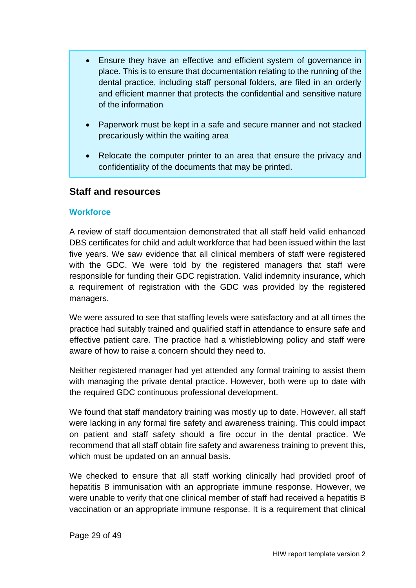- Ensure they have an effective and efficient system of governance in place. This is to ensure that documentation relating to the running of the dental practice, including staff personal folders, are filed in an orderly and efficient manner that protects the confidential and sensitive nature of the information
- Paperwork must be kept in a safe and secure manner and not stacked precariously within the waiting area
- Relocate the computer printer to an area that ensure the privacy and confidentiality of the documents that may be printed.

#### **Staff and resources**

#### **Workforce**

A review of staff documentaion demonstrated that all staff held valid enhanced DBS certificates for child and adult workforce that had been issued within the last five years. We saw evidence that all clinical members of staff were registered with the GDC. We were told by the registered managers that staff were responsible for funding their GDC registration. Valid indemnity insurance, which a requirement of registration with the GDC was provided by the registered managers.

We were assured to see that staffing levels were satisfactory and at all times the practice had suitably trained and qualified staff in attendance to ensure safe and effective patient care. The practice had a whistleblowing policy and staff were aware of how to raise a concern should they need to.

Neither registered manager had yet attended any formal training to assist them with managing the private dental practice. However, both were up to date with the required GDC continuous professional development.

We found that staff mandatory training was mostly up to date. However, all staff were lacking in any formal fire safety and awareness training. This could impact on patient and staff safety should a fire occur in the dental practice. We recommend that all staff obtain fire safety and awareness training to prevent this, which must be updated on an annual basis.

We checked to ensure that all staff working clinically had provided proof of hepatitis B immunisation with an appropriate immune response. However, we were unable to verify that one clinical member of staff had received a hepatitis B vaccination or an appropriate immune response. It is a requirement that clinical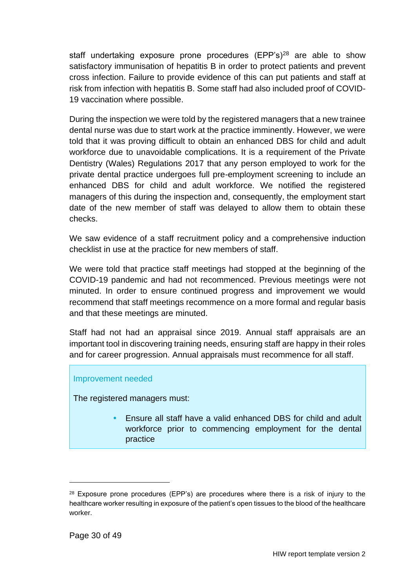staff undertaking exposure prone procedures  $(EPP's)^{28}$  are able to show satisfactory immunisation of hepatitis B in order to protect patients and prevent cross infection. Failure to provide evidence of this can put patients and staff at risk from infection with hepatitis B. Some staff had also included proof of COVID-19 vaccination where possible.

During the inspection we were told by the registered managers that a new trainee dental nurse was due to start work at the practice imminently. However, we were told that it was proving difficult to obtain an enhanced DBS for child and adult workforce due to unavoidable complications. It is a requirement of the Private Dentistry (Wales) Regulations 2017 that any person employed to work for the private dental practice undergoes full pre-employment screening to include an enhanced DBS for child and adult workforce. We notified the registered managers of this during the inspection and, consequently, the employment start date of the new member of staff was delayed to allow them to obtain these checks.

We saw evidence of a staff recruitment policy and a comprehensive induction checklist in use at the practice for new members of staff.

We were told that practice staff meetings had stopped at the beginning of the COVID-19 pandemic and had not recommenced. Previous meetings were not minuted. In order to ensure continued progress and improvement we would recommend that staff meetings recommence on a more formal and regular basis and that these meetings are minuted.

Staff had not had an appraisal since 2019. Annual staff appraisals are an important tool in discovering training needs, ensuring staff are happy in their roles and for career progression. Annual appraisals must recommence for all staff.

#### Improvement needed

The registered managers must:

 Ensure all staff have a valid enhanced DBS for child and adult workforce prior to commencing employment for the dental practice

<sup>&</sup>lt;sup>28</sup> Exposure prone procedures (EPP's) are procedures where there is a risk of injury to the healthcare worker resulting in exposure of the patient's open tissues to the blood of the healthcare worker.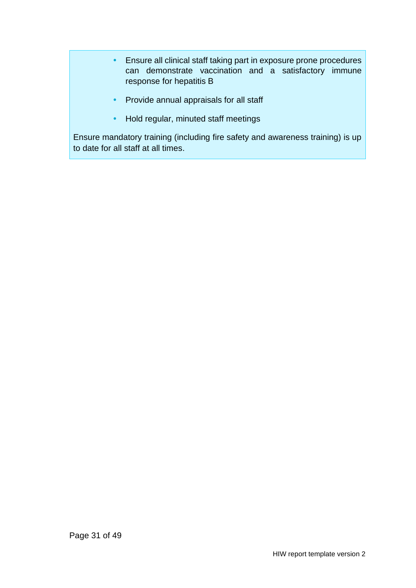- Ensure all clinical staff taking part in exposure prone procedures can demonstrate vaccination and a satisfactory immune response for hepatitis B
- Provide annual appraisals for all staff
- Hold regular, minuted staff meetings

Ensure mandatory training (including fire safety and awareness training) is up to date for all staff at all times.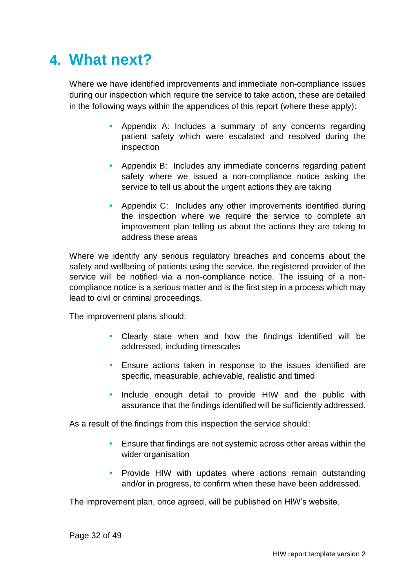## <span id="page-31-0"></span>**4. What next?**

Where we have identified improvements and immediate non-compliance issues during our inspection which require the service to take action, these are detailed in the following ways within the appendices of this report (where these apply):

- Appendix A: Includes a summary of any concerns regarding patient safety which were escalated and resolved during the inspection
- Appendix B: Includes any immediate concerns regarding patient safety where we issued a non-compliance notice asking the service to tell us about the urgent actions they are taking
- Appendix C: Includes any other improvements identified during the inspection where we require the service to complete an improvement plan telling us about the actions they are taking to address these areas

Where we identify any serious regulatory breaches and concerns about the safety and wellbeing of patients using the service, the registered provider of the service will be notified via a non-compliance notice. The issuing of a noncompliance notice is a serious matter and is the first step in a process which may lead to civil or criminal proceedings.

The improvement plans should:

- Clearly state when and how the findings identified will be addressed, including timescales
- Ensure actions taken in response to the issues identified are specific, measurable, achievable, realistic and timed
- Include enough detail to provide HIW and the public with assurance that the findings identified will be sufficiently addressed.

As a result of the findings from this inspection the service should:

- Ensure that findings are not systemic across other areas within the wider organisation
- Provide HIW with updates where actions remain outstanding and/or in progress, to confirm when these have been addressed.

The improvement plan, once agreed, will be published on HIW's website.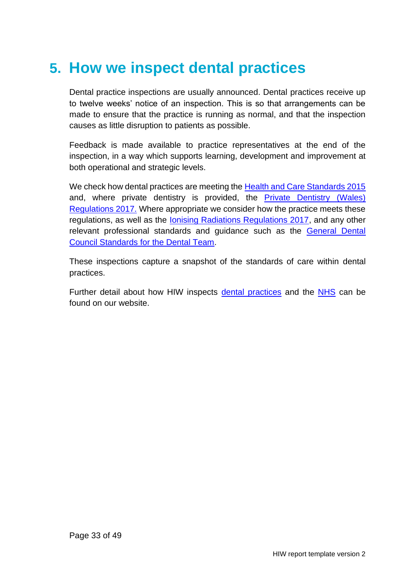## <span id="page-32-0"></span>**5. How we inspect dental practices**

Dental practice inspections are usually announced. Dental practices receive up to twelve weeks' notice of an inspection. This is so that arrangements can be made to ensure that the practice is running as normal, and that the inspection causes as little disruption to patients as possible.

Feedback is made available to practice representatives at the end of the inspection, in a way which supports learning, development and improvement at both operational and strategic levels.

We check how dental practices are meeting the [Health and Care Standards 2015](https://gov.wales/sites/default/files/publications/2019-05/health-and-care-standards-april-2015.pdf) and, where private dentistry is provided, the [Private Dentistry \(Wales\)](https://www.legislation.gov.uk/wsi/2017/202/pdfs/wsi_20170202_mi.pdf)  [Regulations 2017.](https://www.legislation.gov.uk/wsi/2017/202/pdfs/wsi_20170202_mi.pdf) Where appropriate we consider how the practice meets these regulations, as well as the **Ionising Radiations Regulations 2017**, and any other relevant professional standards and guidance such as the [General Dental](https://www.gdc-uk.org/professionals/standards)  [Council Standards for the Dental Team.](https://www.gdc-uk.org/professionals/standards)

These inspections capture a snapshot of the standards of care within dental practices.

Further detail about how HIW inspects [dental practices](https://hiw.org.uk/private-dentistry) and the [NHS](https://hiw.org.uk/sites/default/files/2019-05/170328inspectnhsen_0.pdf) can be found on our website.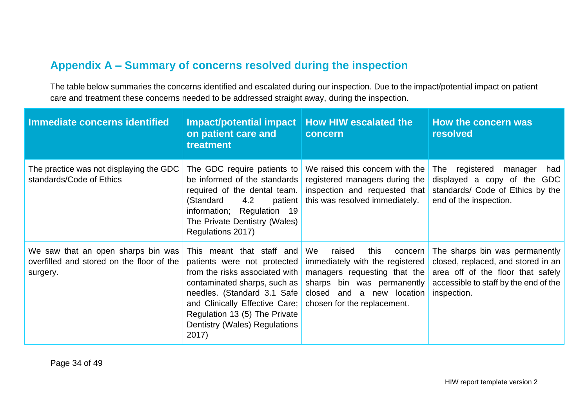## **Appendix A – Summary of concerns resolved during the inspection**

The table below summaries the concerns identified and escalated during our inspection. Due to the impact/potential impact on patient care and treatment these concerns needed to be addressed straight away, during the inspection.

<span id="page-33-0"></span>

| Immediate concerns identified                                                               | Impact/potential impact<br>on patient care and<br>treatment                                                                                                                                                                                                            | <b>How HIW escalated the</b><br>concern                                                                                                                                                      | How the concern was<br>resolved                                                                                                                                   |
|---------------------------------------------------------------------------------------------|------------------------------------------------------------------------------------------------------------------------------------------------------------------------------------------------------------------------------------------------------------------------|----------------------------------------------------------------------------------------------------------------------------------------------------------------------------------------------|-------------------------------------------------------------------------------------------------------------------------------------------------------------------|
| The practice was not displaying the GDC<br>standards/Code of Ethics                         | The GDC require patients to<br>be informed of the standards<br>required of the dental team.<br>4.2<br>(Standard<br>patient<br>information;<br>Regulation 19<br>The Private Dentistry (Wales)<br>Regulations 2017)                                                      | We raised this concern with the<br>registered managers during the<br>inspection and requested that<br>this was resolved immediately.                                                         | registered<br>had<br>The<br>manager<br>displayed a copy of the<br>GDC<br>standards/ Code of Ethics by the<br>end of the inspection.                               |
| We saw that an open sharps bin was<br>overfilled and stored on the floor of the<br>surgery. | This meant that staff and<br>patients were not protected<br>from the risks associated with<br>contaminated sharps, such as<br>needles. (Standard 3.1 Safe<br>and Clinically Effective Care;<br>Regulation 13 (5) The Private<br>Dentistry (Wales) Regulations<br>2017) | We<br>raised<br>this<br>concern<br>immediately with the registered<br>managers requesting that the<br>sharps bin was permanently<br>closed and a new location<br>chosen for the replacement. | The sharps bin was permanently<br>closed, replaced, and stored in an<br>area off of the floor that safely<br>accessible to staff by the end of the<br>inspection. |

Page 34 of 49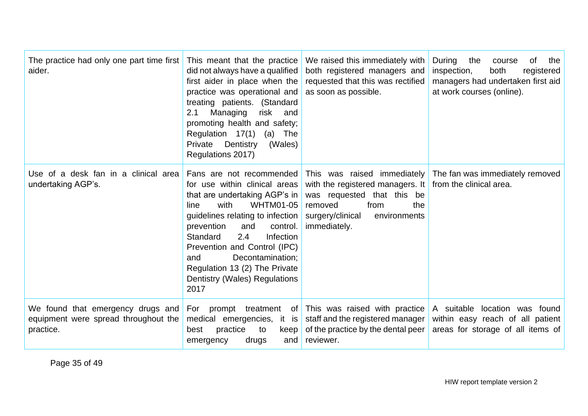| The practice had only one part time first<br>aider.                                    | This meant that the practice<br>did not always have a qualified<br>first aider in place when the<br>practice was operational and<br>treating patients. (Standard<br>Managing<br>2.1<br>risk and<br>promoting health and safety;<br>Regulation 17(1)<br>$(a)$ The<br>Private<br>Dentistry<br>(Wales)<br>Regulations 2017)                     | We raised this immediately with<br>both registered managers and<br>requested that this was rectified<br>as soon as possible.                                                 | During<br>0f<br>the<br>the<br>course<br>inspection,<br>both<br>registered<br>managers had undertaken first aid<br>at work courses (online). |
|----------------------------------------------------------------------------------------|----------------------------------------------------------------------------------------------------------------------------------------------------------------------------------------------------------------------------------------------------------------------------------------------------------------------------------------------|------------------------------------------------------------------------------------------------------------------------------------------------------------------------------|---------------------------------------------------------------------------------------------------------------------------------------------|
| Use of a desk fan in a clinical area<br>undertaking AGP's.                             | for use within clinical areas<br>that are undertaking AGP's in<br><b>WHTM01-05</b><br>with<br>line<br>guidelines relating to infection<br>prevention<br>and<br>control.<br>Standard<br>2.4<br>Infection<br>Prevention and Control (IPC)<br>Decontamination;<br>and<br>Regulation 13 (2) The Private<br>Dentistry (Wales) Regulations<br>2017 | with the registered managers. It $\vert$ from the clinical area.<br>was requested that this be<br>removed<br>from<br>the<br>surgery/clinical<br>environments<br>immediately. | Fans are not recommended This was raised immediately The fan was immediately removed                                                        |
| We found that emergency drugs and<br>equipment were spread throughout the<br>practice. | For prompt treatment<br>medical emergencies, it<br>is<br>practice<br>best<br>to<br>keep<br>emergency<br>drugs<br>and                                                                                                                                                                                                                         | of This was raised with practice<br>staff and the registered manager<br>of the practice by the dental peer<br>reviewer.                                                      | A suitable location was found<br>within easy reach of all patient<br>areas for storage of all items of                                      |

Page 35 of 49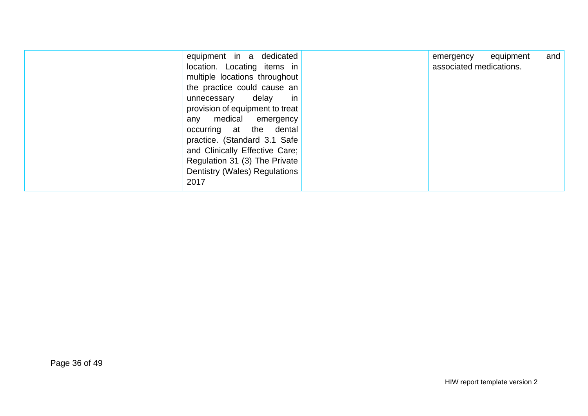| equipment in a dedicated        | emergency equipment     | and |
|---------------------------------|-------------------------|-----|
| location. Locating items in     | associated medications. |     |
| multiple locations throughout   |                         |     |
| the practice could cause an     |                         |     |
| in<br>delay<br>unnecessary      |                         |     |
| provision of equipment to treat |                         |     |
| any medical emergency           |                         |     |
| occurring at the dental         |                         |     |
| practice. (Standard 3.1 Safe    |                         |     |
| and Clinically Effective Care;  |                         |     |
| Regulation 31 (3) The Private   |                         |     |
| Dentistry (Wales) Regulations   |                         |     |
| 2017                            |                         |     |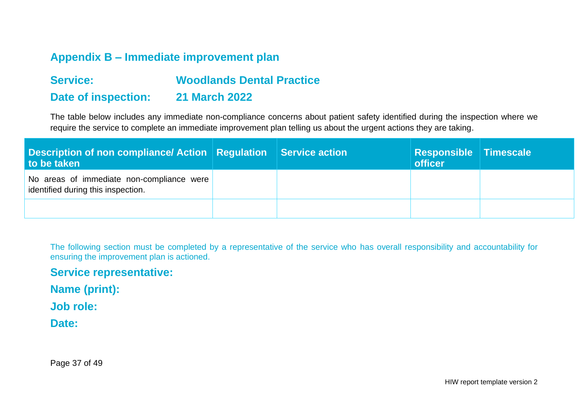## **Appendix B – Immediate improvement plan**

## **Service: Woodlands Dental Practice Date of inspection: 21 March 2022**

The table below includes any immediate non-compliance concerns about patient safety identified during the inspection where we require the service to complete an immediate improvement plan telling us about the urgent actions they are taking.

| <b>Description of non compliance/ Action   Regulation  </b><br>to be taken      | Service action | Responsible Timescale<br><b>officer</b> |  |
|---------------------------------------------------------------------------------|----------------|-----------------------------------------|--|
| No areas of immediate non-compliance were<br>identified during this inspection. |                |                                         |  |
|                                                                                 |                |                                         |  |

<span id="page-36-0"></span>The following section must be completed by a representative of the service who has overall responsibility and accountability for ensuring the improvement plan is actioned.

#### **Service representative:**

**Name (print):** 

**Job role:** 

**Date:** 

Page 37 of 49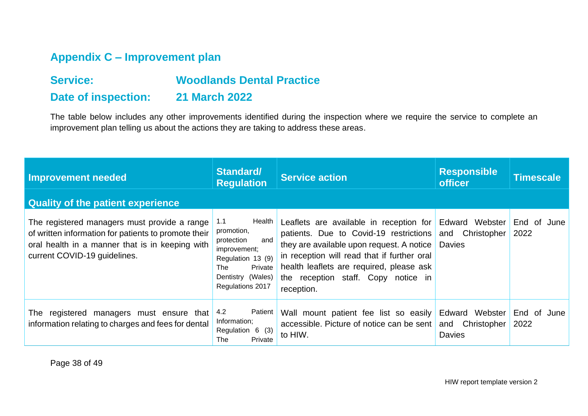## **Appendix C – Improvement plan**

## **Service: Woodlands Dental Practice**

### **Date of inspection: 21 March 2022**

The table below includes any other improvements identified during the inspection where we require the service to complete an improvement plan telling us about the actions they are taking to address these areas.

<span id="page-37-0"></span>

| <b>Improvement needed</b>                                                                                                                                                               | Standard/<br><b>Regulation</b>                                                                                                                   | <b>Service action</b>                                                                                                                                                                                                                                                          | <b>Responsible</b><br><b>officer</b>                  | <b>Timescale</b>    |
|-----------------------------------------------------------------------------------------------------------------------------------------------------------------------------------------|--------------------------------------------------------------------------------------------------------------------------------------------------|--------------------------------------------------------------------------------------------------------------------------------------------------------------------------------------------------------------------------------------------------------------------------------|-------------------------------------------------------|---------------------|
| <b>Quality of the patient experience</b>                                                                                                                                                |                                                                                                                                                  |                                                                                                                                                                                                                                                                                |                                                       |                     |
| The registered managers must provide a range<br>of written information for patients to promote their<br>oral health in a manner that is in keeping with<br>current COVID-19 guidelines. | Health<br>1.1<br>promotion,<br>and<br>protection<br>improvement;<br>Regulation 13 (9)<br>Private<br>The<br>Dentistry (Wales)<br>Regulations 2017 | Leaflets are available in reception for<br>patients. Due to Covid-19 restrictions<br>they are available upon request. A notice<br>in reception will read that if further oral<br>health leaflets are required, please ask<br>the reception staff. Copy notice in<br>reception. | Edward Webster<br>Christopher<br>and<br><b>Davies</b> | End of June<br>2022 |
| registered managers must ensure that<br>The<br>information relating to charges and fees for dental                                                                                      | 4.2<br>Patient<br>Information;<br>Regulation 6 (3)<br>Private<br>The                                                                             | Wall mount patient fee list so easily<br>accessible. Picture of notice can be sent<br>to HIW.                                                                                                                                                                                  | Edward Webster<br>Christopher<br>and<br><b>Davies</b> | End of June<br>2022 |

Page 38 of 49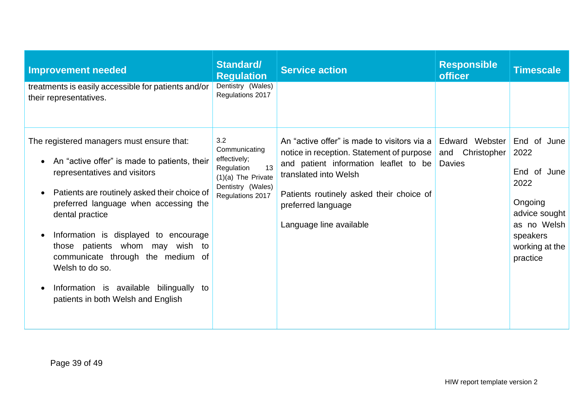| <b>Improvement needed</b>                                                                                                                                                                                                                                                                                                                                                                                                                                               | <b>Standard/</b><br><b>Regulation</b>                                                                                     | <b>Service action</b>                                                                                                                                                                                                                                   | <b>Responsible</b><br><b>officer</b>                  | <b>Timescale</b>                                                                                                                |
|-------------------------------------------------------------------------------------------------------------------------------------------------------------------------------------------------------------------------------------------------------------------------------------------------------------------------------------------------------------------------------------------------------------------------------------------------------------------------|---------------------------------------------------------------------------------------------------------------------------|---------------------------------------------------------------------------------------------------------------------------------------------------------------------------------------------------------------------------------------------------------|-------------------------------------------------------|---------------------------------------------------------------------------------------------------------------------------------|
| treatments is easily accessible for patients and/or<br>their representatives.                                                                                                                                                                                                                                                                                                                                                                                           | Dentistry (Wales)<br>Regulations 2017                                                                                     |                                                                                                                                                                                                                                                         |                                                       |                                                                                                                                 |
| The registered managers must ensure that:<br>An "active offer" is made to patients, their<br>representatives and visitors<br>Patients are routinely asked their choice of<br>preferred language when accessing the<br>dental practice<br>Information is displayed to encourage<br>$\bullet$<br>those patients whom may wish to<br>communicate through the medium of<br>Welsh to do so.<br>Information is available bilingually to<br>patients in both Welsh and English | 3.2<br>Communicating<br>effectively;<br>13<br>Regulation<br>$(1)(a)$ The Private<br>Dentistry (Wales)<br>Regulations 2017 | An "active offer" is made to visitors via a<br>notice in reception. Statement of purpose<br>and patient information leaflet to be<br>translated into Welsh<br>Patients routinely asked their choice of<br>preferred language<br>Language line available | Edward Webster<br>Christopher<br>and<br><b>Davies</b> | End of June<br>2022<br>End of June<br>2022<br>Ongoing<br>advice sought<br>as no Welsh<br>speakers<br>working at the<br>practice |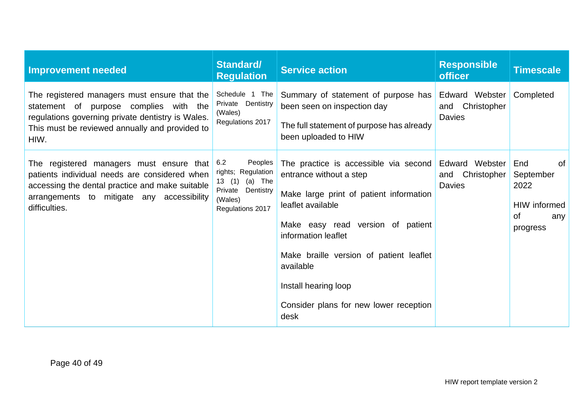| <b>Improvement needed</b>                                                                                                                                                                                   | Standard/<br><b>Regulation</b>                                                                                  | <b>Service action</b>                                                                                                                                                                                                                                                                                                          | <b>Responsible</b><br><b>officer</b>                  | <b>Timescale</b>                                                               |
|-------------------------------------------------------------------------------------------------------------------------------------------------------------------------------------------------------------|-----------------------------------------------------------------------------------------------------------------|--------------------------------------------------------------------------------------------------------------------------------------------------------------------------------------------------------------------------------------------------------------------------------------------------------------------------------|-------------------------------------------------------|--------------------------------------------------------------------------------|
| The registered managers must ensure that the<br>statement of purpose complies with the<br>regulations governing private dentistry is Wales.<br>This must be reviewed annually and provided to<br>HIW.       | Schedule 1 The<br>Dentistry<br>Private<br>(Wales)<br>Regulations 2017                                           | Summary of statement of purpose has<br>been seen on inspection day<br>The full statement of purpose has already<br>been uploaded to HIW                                                                                                                                                                                        | Edward Webster<br>Christopher<br>and<br><b>Davies</b> | Completed                                                                      |
| The registered managers must ensure that<br>patients individual needs are considered when<br>accessing the dental practice and make suitable<br>arrangements to mitigate any accessibility<br>difficulties. | Peoples<br>6.2<br>rights; Regulation<br>(a) The<br>13(1)<br>Dentistry<br>Private<br>(Wales)<br>Regulations 2017 | The practice is accessible via second<br>entrance without a step<br>Make large print of patient information<br>leaflet available<br>Make easy read version of patient<br>information leaflet<br>Make braille version of patient leaflet<br>available<br>Install hearing loop<br>Consider plans for new lower reception<br>desk | Edward Webster<br>and Christopher<br><b>Davies</b>    | End<br><b>of</b><br>September<br>2022<br>HIW informed<br>0f<br>any<br>progress |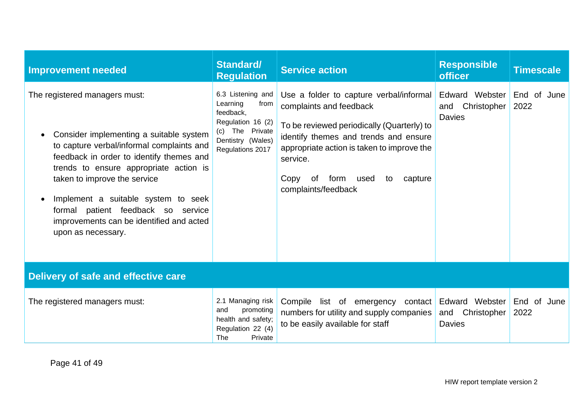| <b>Improvement needed</b>                                                                                                                                                                                                                                                                                                                                                                               | <b>Standard/</b><br><b>Regulation</b>                                                                                                    | <b>Service action</b>                                                                                                                                                                                                                                                                     | <b>Responsible</b><br><b>officer</b>                  | <b>Timescale</b>    |
|---------------------------------------------------------------------------------------------------------------------------------------------------------------------------------------------------------------------------------------------------------------------------------------------------------------------------------------------------------------------------------------------------------|------------------------------------------------------------------------------------------------------------------------------------------|-------------------------------------------------------------------------------------------------------------------------------------------------------------------------------------------------------------------------------------------------------------------------------------------|-------------------------------------------------------|---------------------|
| The registered managers must:<br>Consider implementing a suitable system<br>$\bullet$<br>to capture verbal/informal complaints and<br>feedback in order to identify themes and<br>trends to ensure appropriate action is<br>taken to improve the service<br>Implement a suitable system to seek<br>formal patient feedback so service<br>improvements can be identified and acted<br>upon as necessary. | 6.3 Listening and<br>Learning<br>from<br>feedback,<br>Regulation 16 (2)<br>The Private<br>(c) —<br>Dentistry (Wales)<br>Regulations 2017 | Use a folder to capture verbal/informal<br>complaints and feedback<br>To be reviewed periodically (Quarterly) to<br>identify themes and trends and ensure<br>appropriate action is taken to improve the<br>service.<br>form<br>Copy<br>0f<br>used<br>capture<br>to<br>complaints/feedback | Edward Webster<br>Christopher<br>and<br><b>Davies</b> | End of June<br>2022 |
| Delivery of safe and effective care                                                                                                                                                                                                                                                                                                                                                                     |                                                                                                                                          |                                                                                                                                                                                                                                                                                           |                                                       |                     |
| The registered managers must:                                                                                                                                                                                                                                                                                                                                                                           | 2.1 Managing risk<br>promoting<br>and<br>health and safety;<br>Regulation 22 (4)<br>The<br>Private                                       | Compile list of emergency<br>contact<br>numbers for utility and supply companies<br>to be easily available for staff                                                                                                                                                                      | Edward Webster<br>and<br>Christopher<br><b>Davies</b> | End of June<br>2022 |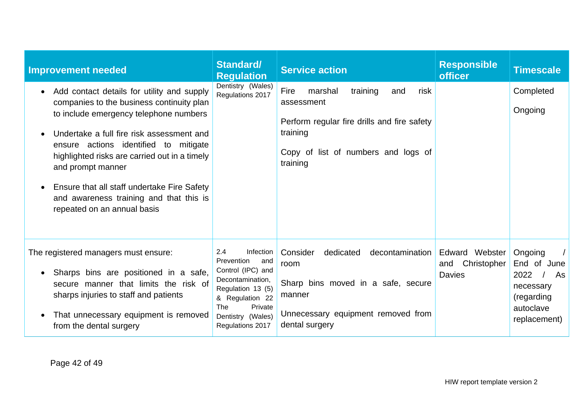| <b>Improvement needed</b>                                                                                                                                                                                                                                                                                                                                                                                                           | <b>Standard/</b><br><b>Regulation</b>                                                                                                                                             | <b>Service action</b>                                                                                                                                                  | <b>Responsible</b><br><b>officer</b>                  | <b>Timescale</b>                                                                             |
|-------------------------------------------------------------------------------------------------------------------------------------------------------------------------------------------------------------------------------------------------------------------------------------------------------------------------------------------------------------------------------------------------------------------------------------|-----------------------------------------------------------------------------------------------------------------------------------------------------------------------------------|------------------------------------------------------------------------------------------------------------------------------------------------------------------------|-------------------------------------------------------|----------------------------------------------------------------------------------------------|
| Add contact details for utility and supply<br>$\bullet$<br>companies to the business continuity plan<br>to include emergency telephone numbers<br>Undertake a full fire risk assessment and<br>ensure actions identified to mitigate<br>highlighted risks are carried out in a timely<br>and prompt manner<br>Ensure that all staff undertake Fire Safety<br>and awareness training and that this is<br>repeated on an annual basis | Dentistry (Wales)<br>Regulations 2017                                                                                                                                             | Fire<br>training<br>risk<br>marshal<br>and<br>assessment<br>Perform regular fire drills and fire safety<br>training<br>Copy of list of numbers and logs of<br>training |                                                       | Completed<br>Ongoing                                                                         |
| The registered managers must ensure:<br>Sharps bins are positioned in a safe,<br>$\bullet$<br>secure manner that limits the risk of<br>sharps injuries to staff and patients<br>That unnecessary equipment is removed<br>from the dental surgery                                                                                                                                                                                    | 2.4<br>Infection<br>Prevention<br>and<br>Control (IPC) and<br>Decontamination,<br>Regulation 13 (5)<br>& Regulation 22<br>The<br>Private<br>Dentistry (Wales)<br>Regulations 2017 | Consider<br>dedicated<br>decontamination<br>room<br>Sharp bins moved in a safe, secure<br>manner<br>Unnecessary equipment removed from<br>dental surgery               | Edward Webster<br>Christopher<br>and<br><b>Davies</b> | Ongoing<br>End of June<br>2022<br>As<br>necessary<br>(regarding<br>autoclave<br>replacement) |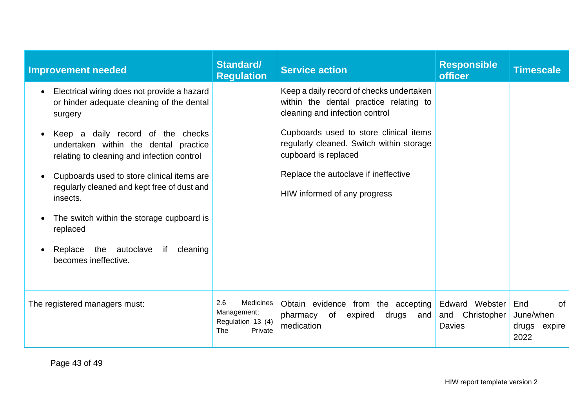| <b>Improvement needed</b>                                                                                                             | Standard/<br><b>Regulation</b>                                                | <b>Service action</b>                                                                                                | <b>Responsible</b><br><b>officer</b>                  | <b>Timescale</b>                                         |
|---------------------------------------------------------------------------------------------------------------------------------------|-------------------------------------------------------------------------------|----------------------------------------------------------------------------------------------------------------------|-------------------------------------------------------|----------------------------------------------------------|
| Electrical wiring does not provide a hazard<br>$\bullet$<br>or hinder adequate cleaning of the dental<br>surgery                      |                                                                               | Keep a daily record of checks undertaken<br>within the dental practice relating to<br>cleaning and infection control |                                                       |                                                          |
| Keep a daily record of the checks<br>$\bullet$<br>undertaken within the dental practice<br>relating to cleaning and infection control |                                                                               | Cupboards used to store clinical items<br>regularly cleaned. Switch within storage<br>cupboard is replaced           |                                                       |                                                          |
| Cupboards used to store clinical items are<br>$\bullet$<br>regularly cleaned and kept free of dust and<br>insects.                    |                                                                               | Replace the autoclave if ineffective<br>HIW informed of any progress                                                 |                                                       |                                                          |
| The switch within the storage cupboard is<br>replaced                                                                                 |                                                                               |                                                                                                                      |                                                       |                                                          |
| if<br>the<br>autoclave<br>cleaning<br>Replace<br>becomes ineffective.                                                                 |                                                                               |                                                                                                                      |                                                       |                                                          |
| The registered managers must:                                                                                                         | 2.6<br>Medicines<br>Management;<br>Regulation 13 (4)<br><b>The</b><br>Private | Obtain evidence from the accepting<br>of<br>pharmacy<br>expired<br>drugs<br>and<br>medication                        | Edward Webster<br>Christopher<br>and<br><b>Davies</b> | <b>of</b><br>End<br>June/when<br>drugs<br>expire<br>2022 |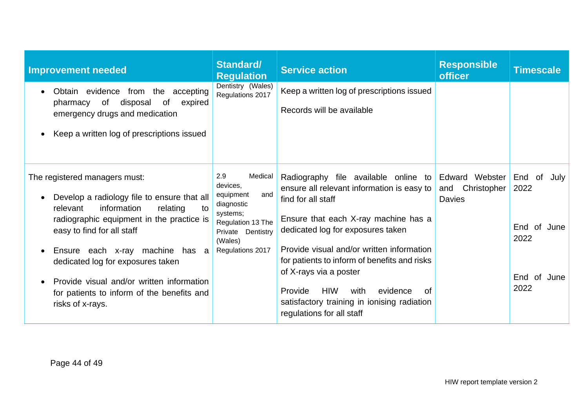| <b>Improvement needed</b>                                                                                                                                                                                                                                                                                                                                                                                             | <b>Standard/</b><br><b>Regulation</b>                                                                                                             | <b>Service action</b>                                                                                                                                                                                                                                                                                                                                                                                                                       | <b>Responsible</b><br><b>officer</b>                  | <b>Timescale</b>                                                              |
|-----------------------------------------------------------------------------------------------------------------------------------------------------------------------------------------------------------------------------------------------------------------------------------------------------------------------------------------------------------------------------------------------------------------------|---------------------------------------------------------------------------------------------------------------------------------------------------|---------------------------------------------------------------------------------------------------------------------------------------------------------------------------------------------------------------------------------------------------------------------------------------------------------------------------------------------------------------------------------------------------------------------------------------------|-------------------------------------------------------|-------------------------------------------------------------------------------|
| Obtain evidence from the accepting<br>$\bullet$<br>of<br>disposal<br>0f<br>expired<br>pharmacy<br>emergency drugs and medication<br>Keep a written log of prescriptions issued<br>$\bullet$                                                                                                                                                                                                                           | Dentistry (Wales)<br>Regulations 2017                                                                                                             | Keep a written log of prescriptions issued<br>Records will be available                                                                                                                                                                                                                                                                                                                                                                     |                                                       |                                                                               |
| The registered managers must:<br>Develop a radiology file to ensure that all<br>$\bullet$<br>information<br>relevant<br>relating<br>to<br>radiographic equipment in the practice is<br>easy to find for all staff<br>Ensure each x-ray machine has a<br>dedicated log for exposures taken<br>Provide visual and/or written information<br>$\bullet$<br>for patients to inform of the benefits and<br>risks of x-rays. | 2.9<br>Medical<br>devices,<br>and<br>equipment<br>diagnostic<br>systems;<br>Regulation 13 The<br>Private Dentistry<br>(Wales)<br>Regulations 2017 | Radiography file available online to<br>ensure all relevant information is easy to<br>find for all staff<br>Ensure that each X-ray machine has a<br>dedicated log for exposures taken<br>Provide visual and/or written information<br>for patients to inform of benefits and risks<br>of X-rays via a poster<br><b>HIW</b><br>Provide<br>evidence<br>with<br>Ωf<br>satisfactory training in ionising radiation<br>regulations for all staff | Edward Webster<br>Christopher<br>and<br><b>Davies</b> | End<br>of<br>July<br>2022<br>of June<br>End<br>2022<br>End<br>of June<br>2022 |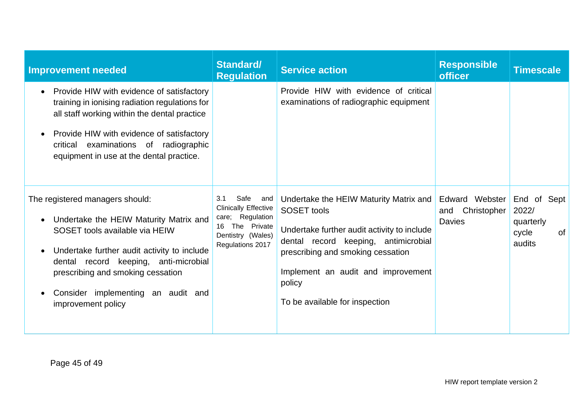| <b>Improvement needed</b>                                                                                                                                                                                                                                                                                                      | <b>Standard/</b><br><b>Regulation</b>                                                                                            | <b>Service action</b>                                                                                                                                                                                                                                                      | <b>Responsible</b><br><b>officer</b>                  | <b>Timescale</b>                                                  |
|--------------------------------------------------------------------------------------------------------------------------------------------------------------------------------------------------------------------------------------------------------------------------------------------------------------------------------|----------------------------------------------------------------------------------------------------------------------------------|----------------------------------------------------------------------------------------------------------------------------------------------------------------------------------------------------------------------------------------------------------------------------|-------------------------------------------------------|-------------------------------------------------------------------|
| Provide HIW with evidence of satisfactory<br>$\bullet$<br>training in ionising radiation regulations for<br>all staff working within the dental practice<br>Provide HIW with evidence of satisfactory<br>$\bullet$<br>examinations of radiographic<br>critical<br>equipment in use at the dental practice.                     |                                                                                                                                  | Provide HIW with evidence of critical<br>examinations of radiographic equipment                                                                                                                                                                                            |                                                       |                                                                   |
| The registered managers should:<br>Undertake the HEIW Maturity Matrix and<br>$\bullet$<br>SOSET tools available via HEIW<br>Undertake further audit activity to include<br>$\bullet$<br>dental record keeping, anti-microbial<br>prescribing and smoking cessation<br>Consider implementing an audit and<br>improvement policy | Safe and<br>3.1<br><b>Clinically Effective</b><br>care; Regulation<br>The Private<br>16<br>Dentistry (Wales)<br>Regulations 2017 | Undertake the HEIW Maturity Matrix and<br><b>SOSET</b> tools<br>Undertake further audit activity to include<br>dental record keeping, antimicrobial<br>prescribing and smoking cessation<br>Implement an audit and improvement<br>policy<br>To be available for inspection | Edward Webster<br>Christopher<br>and<br><b>Davies</b> | End of Sept<br>2022/<br>quarterly<br><b>of</b><br>cycle<br>audits |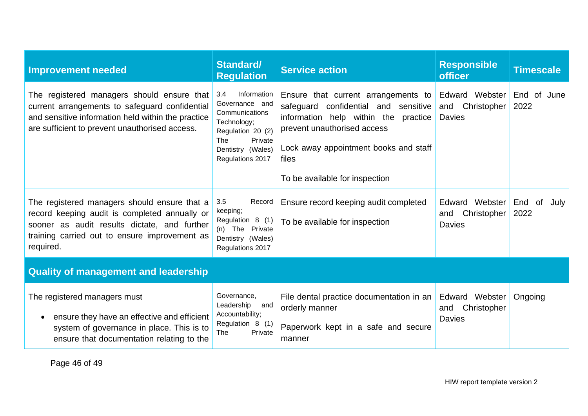| <b>Improvement needed</b>                                                                                                                                                                                   | <b>Standard/</b><br><b>Regulation</b>                                                                                                                        | <b>Service action</b>                                                                                                                                                                                                                     | <b>Responsible</b><br><b>officer</b>                  | <b>Timescale</b>          |  |
|-------------------------------------------------------------------------------------------------------------------------------------------------------------------------------------------------------------|--------------------------------------------------------------------------------------------------------------------------------------------------------------|-------------------------------------------------------------------------------------------------------------------------------------------------------------------------------------------------------------------------------------------|-------------------------------------------------------|---------------------------|--|
| The registered managers should ensure that<br>current arrangements to safeguard confidential<br>and sensitive information held within the practice<br>are sufficient to prevent unauthorised access.        | Information<br>3.4<br>Governance and<br>Communications<br>Technology;<br>Regulation 20 (2)<br><b>The</b><br>Private<br>Dentistry (Wales)<br>Regulations 2017 | Ensure that current arrangements to<br>safeguard confidential and sensitive<br>information help within the<br>practice<br>prevent unauthorised access<br>Lock away appointment books and staff<br>files<br>To be available for inspection | Edward Webster<br>Christopher<br>and<br><b>Davies</b> | End of June<br>2022       |  |
| The registered managers should ensure that a<br>record keeping audit is completed annually or<br>sooner as audit results dictate, and further<br>training carried out to ensure improvement as<br>required. | 3.5<br>Record<br>keeping;<br>Regulation 8 (1)<br>(n) The Private<br>Dentistry (Wales)<br>Regulations 2017                                                    | Ensure record keeping audit completed<br>To be available for inspection                                                                                                                                                                   | Edward Webster<br>Christopher<br>and<br><b>Davies</b> | End<br>July<br>0f<br>2022 |  |
| <b>Quality of management and leadership</b>                                                                                                                                                                 |                                                                                                                                                              |                                                                                                                                                                                                                                           |                                                       |                           |  |
| The registered managers must<br>ensure they have an effective and efficient<br>$\bullet$<br>system of governance in place. This is to<br>ensure that documentation relating to the                          | Governance,<br>Leadership<br>and<br>Accountability;<br>Regulation 8 (1)<br>The<br>Private                                                                    | File dental practice documentation in an<br>orderly manner<br>Paperwork kept in a safe and secure<br>manner                                                                                                                               | Edward Webster<br>Christopher<br>and<br><b>Davies</b> | Ongoing                   |  |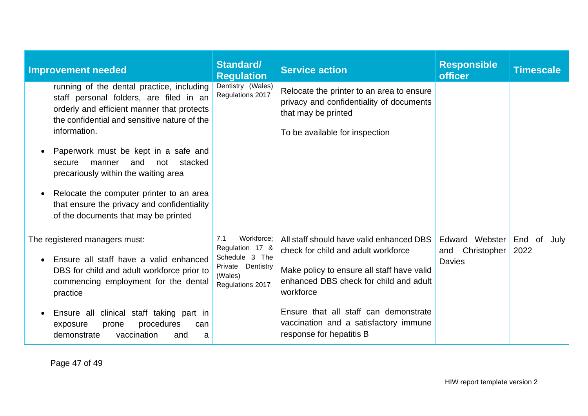| <b>Improvement needed</b>                                                                                                                                                                                                                                                                                                                                                                                                                                                       | Standard/<br><b>Regulation</b>                                                                             | <b>Service action</b>                                                                                                                                                                                                                                                                              | <b>Responsible</b><br><b>officer</b>                  | <b>Timescale</b>    |
|---------------------------------------------------------------------------------------------------------------------------------------------------------------------------------------------------------------------------------------------------------------------------------------------------------------------------------------------------------------------------------------------------------------------------------------------------------------------------------|------------------------------------------------------------------------------------------------------------|----------------------------------------------------------------------------------------------------------------------------------------------------------------------------------------------------------------------------------------------------------------------------------------------------|-------------------------------------------------------|---------------------|
| running of the dental practice, including<br>staff personal folders, are filed in an<br>orderly and efficient manner that protects<br>the confidential and sensitive nature of the<br>information.<br>Paperwork must be kept in a safe and<br>and<br>stacked<br>not<br>manner<br>secure<br>precariously within the waiting area<br>Relocate the computer printer to an area<br>$\bullet$<br>that ensure the privacy and confidentiality<br>of the documents that may be printed | Dentistry (Wales)<br>Regulations 2017                                                                      | Relocate the printer to an area to ensure<br>privacy and confidentiality of documents<br>that may be printed<br>To be available for inspection                                                                                                                                                     |                                                       |                     |
| The registered managers must:<br>Ensure all staff have a valid enhanced<br>DBS for child and adult workforce prior to<br>commencing employment for the dental<br>practice<br>Ensure all clinical staff taking part in<br>procedures<br>exposure<br>prone<br>can<br>vaccination<br>demonstrate<br>and<br>a                                                                                                                                                                       | Workforce:<br>7.1<br>Regulation 17 &<br>Schedule 3 The<br>Private Dentistry<br>(Wales)<br>Regulations 2017 | All staff should have valid enhanced DBS<br>check for child and adult workforce<br>Make policy to ensure all staff have valid<br>enhanced DBS check for child and adult<br>workforce<br>Ensure that all staff can demonstrate<br>vaccination and a satisfactory immune<br>response for hepatitis B | Edward Webster<br>Christopher<br>and<br><b>Davies</b> | End of July<br>2022 |

Page 47 of 49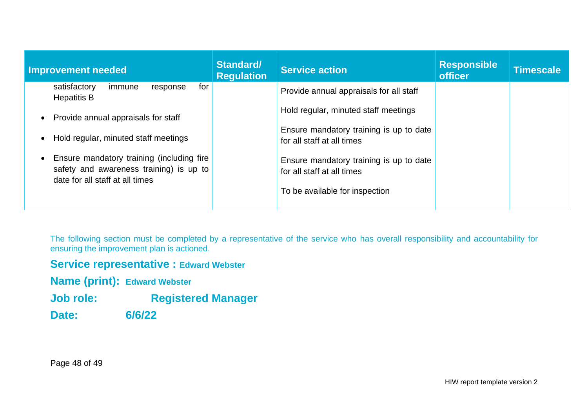| Improvement needed                                                                                                      | Standard/<br><b>Regulation</b> | <b>Service action</b>                                                                                   | <b>Responsible</b><br><b>officer</b> | Timescale |
|-------------------------------------------------------------------------------------------------------------------------|--------------------------------|---------------------------------------------------------------------------------------------------------|--------------------------------------|-----------|
| for<br>satisfactory<br>immune<br>response<br><b>Hepatitis B</b>                                                         |                                | Provide annual appraisals for all staff                                                                 |                                      |           |
| Provide annual appraisals for staff<br>$\bullet$                                                                        |                                | Hold regular, minuted staff meetings                                                                    |                                      |           |
| Hold regular, minuted staff meetings<br>$\bullet$                                                                       |                                | Ensure mandatory training is up to date<br>for all staff at all times                                   |                                      |           |
| Ensure mandatory training (including fire<br>safety and awareness training) is up to<br>date for all staff at all times |                                | Ensure mandatory training is up to date<br>for all staff at all times<br>To be available for inspection |                                      |           |
|                                                                                                                         |                                |                                                                                                         |                                      |           |

The following section must be completed by a representative of the service who has overall responsibility and accountability for ensuring the improvement plan is actioned.

### **Service representative : Edward Webster**

**Name (print): Edward Webster**

**Job role: Registered Manager**

**Date: 6/6/22**

Page 48 of 49